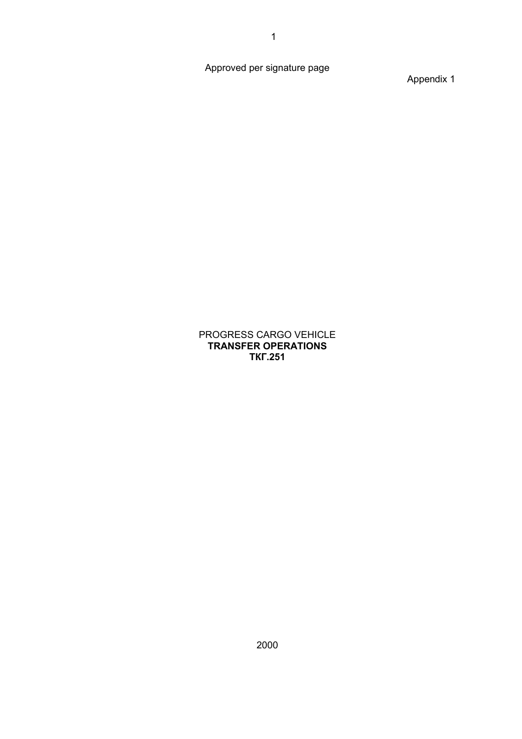Approved per signature page

Appendix 1

#### PROGRESS CARGO VEHICLE **TRANSFER OPERATIONS ТКГ.251**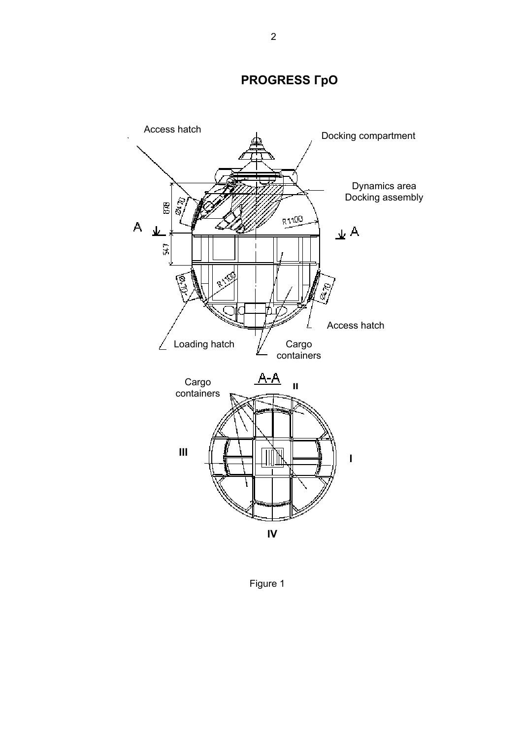#### **PROGRESS ГрО**



Figure 1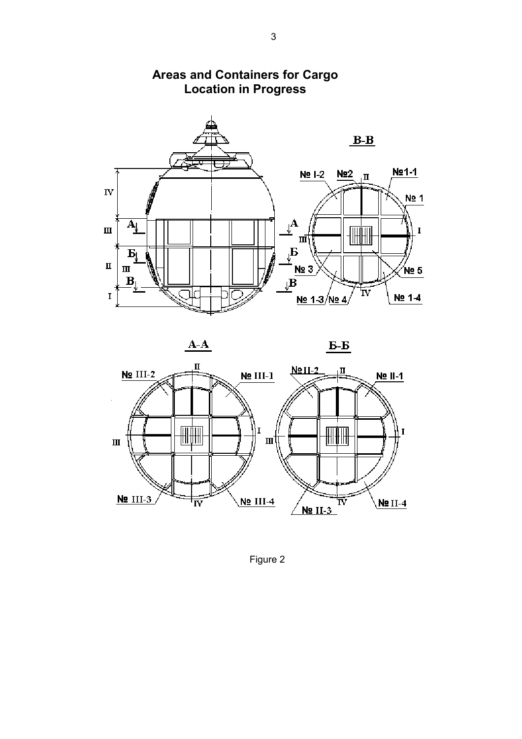

#### **Areas and Containers for Cargo Location in Progress**







Figure 2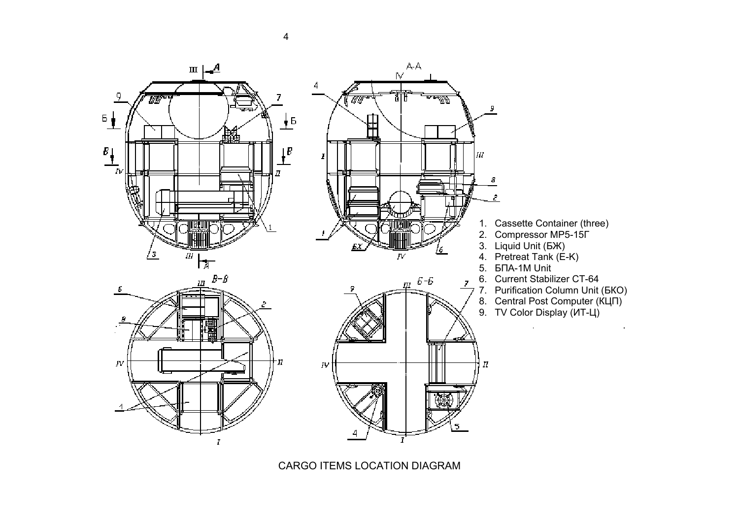

CARGO ITEMS LOCATION DIAGRAM

4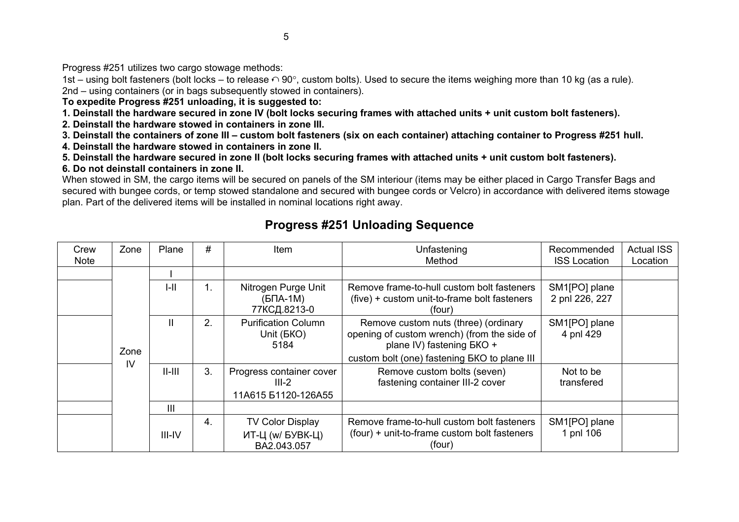Progress #251 utilizes two cargo stowage methods:

1st – using bolt fasteners (bolt locks – to release  $\cap$  90°, custom bolts). Used to secure the items weighing more than 10 kg (as a rule). 2nd – using containers (or in bags subsequently stowed in containers).

**To expedite Progress #251 unloading, it is suggested to:**

**1. Deinstall the hardware secured in zone IV (bolt locks securing frames with attached units + unit custom bolt fasteners).**

**2. Deinstall the hardware stowed in containers in zone III.**

**3. Deinstall the containers of zone III – custom bolt fasteners (six on each container) attaching container to Progress #251 hull.**

**4. Deinstall the hardware stowed in containers in zone II.**

**5. Deinstall the hardware secured in zone II (bolt locks securing frames with attached units + unit custom bolt fasteners).**

**6. Do not deinstall containers in zone II.**

When stowed in SM, the cargo items will be secured on panels of the SM interiour (items may be either placed in Cargo Transfer Bags and secured with bungee cords, or temp stowed standalone and secured with bungee cords or Velcro) in accordance with delivered items stowage plan. Part of the delivered items will be installed in nominal locations right away.

#### **Progress #251 Unloading Sequence**

| Crew<br><b>Note</b> | Zone | Plane        | #  | Item                                                       | Unfastening<br>Method                                                                                                                                            | Recommended<br><b>ISS Location</b> | <b>Actual ISS</b><br>Location |
|---------------------|------|--------------|----|------------------------------------------------------------|------------------------------------------------------------------------------------------------------------------------------------------------------------------|------------------------------------|-------------------------------|
|                     |      |              |    |                                                            |                                                                                                                                                                  |                                    |                               |
|                     |      | $I-II$       | 1. | Nitrogen Purge Unit<br>$(B\Pi A-1 M)$<br>77КСД.8213-0      | Remove frame-to-hull custom bolt fasteners<br>(five) + custom unit-to-frame bolt fasteners<br>(four)                                                             | SM1[PO] plane<br>2 pnl 226, 227    |                               |
|                     | Zone | $\mathbf{I}$ | 2. | <b>Purification Column</b><br>Unit (BKO)<br>5184           | Remove custom nuts (three) (ordinary<br>opening of custom wrench) (from the side of<br>plane IV) fastening BKO +<br>custom bolt (one) fastening EKO to plane III | SM1[PO] plane<br>4 pnl 429         |                               |
|                     | IV   | $II$ - $III$ | 3. | Progress container cover<br>$III-2$<br>11A615 51120-126A55 | Remove custom bolts (seven)<br>fastening container III-2 cover                                                                                                   | Not to be<br>transfered            |                               |
|                     |      | III          |    |                                                            |                                                                                                                                                                  |                                    |                               |
|                     |      | III-IV       | 4. | <b>TV Color Display</b><br>ИТ-Ц (w/ БУВК-Ц)<br>BA2.043.057 | Remove frame-to-hull custom bolt fasteners<br>(four) + unit-to-frame custom bolt fasteners<br>(four)                                                             | SM1[PO] plane<br>1 pnl 106         |                               |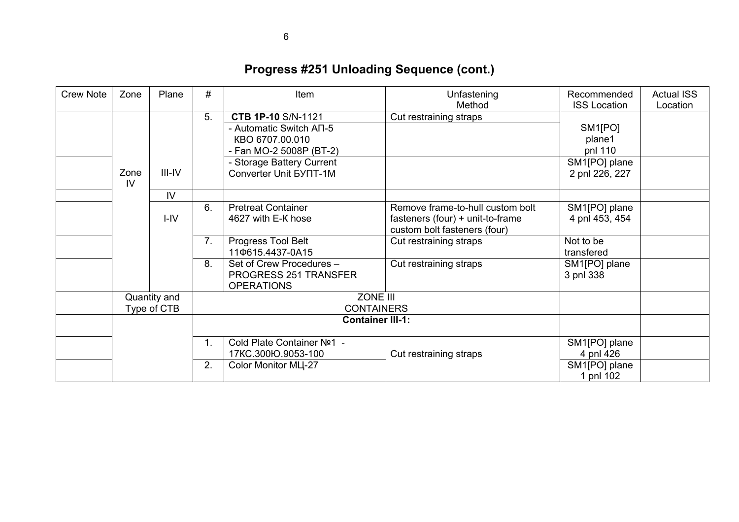| <b>Crew Note</b> | Zone          | Plane        | #  | Item                          | Unfastening<br>Method            | Recommended<br><b>ISS Location</b> | <b>Actual ISS</b><br>Location |
|------------------|---------------|--------------|----|-------------------------------|----------------------------------|------------------------------------|-------------------------------|
|                  |               |              | 5. | <b>CTB 1P-10 S/N-1121</b>     | Cut restraining straps           |                                    |                               |
|                  |               |              |    | - Automatic Switch AN-5       |                                  | SM <sub>1</sub> [PO]               |                               |
|                  |               |              |    | KBO 6707.00.010               |                                  | plane1                             |                               |
|                  |               |              |    | - Fan MO-2 5008P (BT-2)       |                                  | pnl 110                            |                               |
|                  |               |              |    | - Storage Battery Current     |                                  | SM1[PO] plane                      |                               |
|                  | Zone          | $III$ -IV    |    | Converter Unit <b>5YNT-1M</b> |                                  | 2 pnl 226, 227                     |                               |
|                  | $\mathsf{IV}$ |              |    |                               |                                  |                                    |                               |
|                  |               | IV           |    |                               |                                  |                                    |                               |
|                  |               |              | 6. | <b>Pretreat Container</b>     | Remove frame-to-hull custom bolt | SM1[PO] plane                      |                               |
|                  |               | $I - IV$     |    | 4627 with E-K hose            | fasteners (four) + unit-to-frame | 4 pnl 453, 454                     |                               |
|                  |               |              |    |                               | custom bolt fasteners (four)     |                                    |                               |
|                  |               |              | 7. | Progress Tool Belt            | Cut restraining straps           | Not to be                          |                               |
|                  |               |              |    | 110615.4437-0A15              |                                  | transfered                         |                               |
|                  |               |              | 8. | Set of Crew Procedures -      | Cut restraining straps           | SM1[PO] plane                      |                               |
|                  |               |              |    | PROGRESS 251 TRANSFER         |                                  | 3 pnl 338                          |                               |
|                  |               |              |    | <b>OPERATIONS</b>             |                                  |                                    |                               |
|                  |               | Quantity and |    | ZONE III                      |                                  |                                    |                               |
|                  |               | Type of CTB  |    | <b>CONTAINERS</b>             |                                  |                                    |                               |
|                  |               |              |    | <b>Container III-1:</b>       |                                  |                                    |                               |
|                  |               |              |    |                               |                                  |                                    |                               |
|                  |               |              | 1. | Cold Plate Container Nº1 -    |                                  | SM1[PO] plane                      |                               |
|                  |               |              |    | 17KC.300Ю.9053-100            | Cut restraining straps           | 4 pnl 426                          |                               |
|                  |               |              | 2. | Color Monitor ML-27           |                                  | SM1[PO] plane                      |                               |
|                  |               |              |    |                               |                                  | 1 pnl 102                          |                               |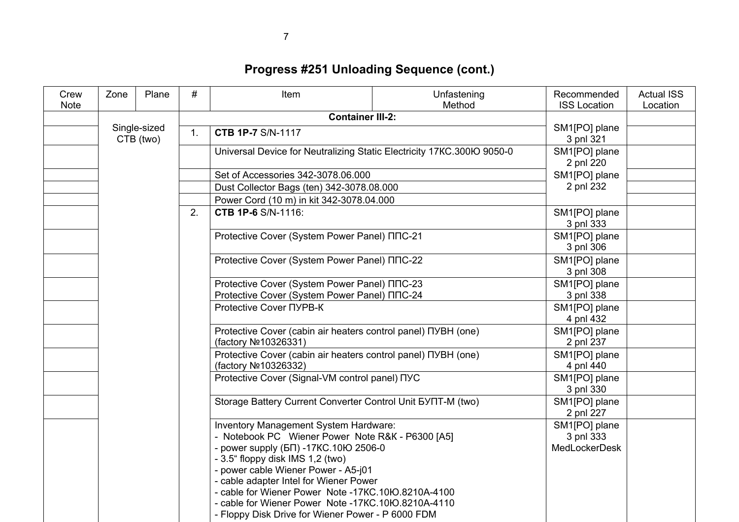| Crew<br><b>Note</b> | Zone | Plane                     | #              | Item                                                                                                                                                                                                                                                                                                                                                                                                                      | Unfastening<br>Method                                                  | Recommended<br><b>ISS Location</b>                                                           | <b>Actual ISS</b><br>Location                  |                            |                            |  |                                                                                       |  |                            |
|---------------------|------|---------------------------|----------------|---------------------------------------------------------------------------------------------------------------------------------------------------------------------------------------------------------------------------------------------------------------------------------------------------------------------------------------------------------------------------------------------------------------------------|------------------------------------------------------------------------|----------------------------------------------------------------------------------------------|------------------------------------------------|----------------------------|----------------------------|--|---------------------------------------------------------------------------------------|--|----------------------------|
|                     |      |                           |                |                                                                                                                                                                                                                                                                                                                                                                                                                           | <b>Container III-2:</b>                                                |                                                                                              |                                                |                            |                            |  |                                                                                       |  |                            |
|                     |      | Single-sized<br>CTB (two) | $\mathbf{1}$ . | <b>CTB 1P-7 S/N-1117</b>                                                                                                                                                                                                                                                                                                                                                                                                  |                                                                        | SM1[PO] plane<br>3 pnl 321                                                                   |                                                |                            |                            |  |                                                                                       |  |                            |
|                     |      |                           |                |                                                                                                                                                                                                                                                                                                                                                                                                                           | Universal Device for Neutralizing Static Electricity 17KC.300IO 9050-0 | SM1[PO] plane<br>2 pnl 220                                                                   |                                                |                            |                            |  |                                                                                       |  |                            |
|                     |      |                           |                | Set of Accessories 342-3078.06.000                                                                                                                                                                                                                                                                                                                                                                                        |                                                                        | SM1[PO] plane                                                                                |                                                |                            |                            |  |                                                                                       |  |                            |
|                     |      |                           |                | Dust Collector Bags (ten) 342-3078.08.000                                                                                                                                                                                                                                                                                                                                                                                 |                                                                        | 2 pnl 232                                                                                    |                                                |                            |                            |  |                                                                                       |  |                            |
|                     |      |                           |                | Power Cord (10 m) in kit 342-3078.04.000                                                                                                                                                                                                                                                                                                                                                                                  |                                                                        |                                                                                              |                                                |                            |                            |  |                                                                                       |  |                            |
|                     |      |                           | 2.             | <b>CTB 1P-6 S/N-1116:</b>                                                                                                                                                                                                                                                                                                                                                                                                 |                                                                        | SM1[PO] plane<br>3 pnl 333                                                                   |                                                |                            |                            |  |                                                                                       |  |                            |
|                     |      |                           |                | Protective Cover (System Power Panel) NNC-21                                                                                                                                                                                                                                                                                                                                                                              |                                                                        | SM1[PO] plane<br>3 pnl 306                                                                   |                                                |                            |                            |  |                                                                                       |  |                            |
|                     |      |                           |                | Protective Cover (System Power Panel) NNC-22                                                                                                                                                                                                                                                                                                                                                                              |                                                                        | SM1[PO] plane<br>3 pnl 308                                                                   |                                                |                            |                            |  |                                                                                       |  |                            |
|                     |      |                           |                |                                                                                                                                                                                                                                                                                                                                                                                                                           |                                                                        | Protective Cover (System Power Panel) NNC-23<br>Protective Cover (System Power Panel) NNC-24 |                                                | SM1[PO] plane<br>3 pnl 338 |                            |  |                                                                                       |  |                            |
|                     |      |                           |                |                                                                                                                                                                                                                                                                                                                                                                                                                           | Protective Cover NYPB-K                                                |                                                                                              | SM1[PO] plane<br>4 pnl 432                     |                            |                            |  |                                                                                       |  |                            |
|                     |      |                           |                |                                                                                                                                                                                                                                                                                                                                                                                                                           |                                                                        |                                                                                              |                                                |                            |                            |  | Protective Cover (cabin air heaters control panel) NYBH (one)<br>(factory Nº10326331) |  | SM1[PO] plane<br>2 pnl 237 |
|                     |      |                           |                |                                                                                                                                                                                                                                                                                                                                                                                                                           |                                                                        | Protective Cover (cabin air heaters control panel) NYBH (one)<br>(factory Nº10326332)        |                                                | SM1[PO] plane<br>4 pnl 440 |                            |  |                                                                                       |  |                            |
|                     |      |                           |                |                                                                                                                                                                                                                                                                                                                                                                                                                           |                                                                        |                                                                                              | Protective Cover (Signal-VM control panel) NYC |                            | SM1[PO] plane<br>3 pnl 330 |  |                                                                                       |  |                            |
|                     |      |                           |                |                                                                                                                                                                                                                                                                                                                                                                                                                           | Storage Battery Current Converter Control Unit 5YNT-M (two)            |                                                                                              | SM1[PO] plane<br>2 pnl 227                     |                            |                            |  |                                                                                       |  |                            |
|                     |      |                           |                | Inventory Management System Hardware:<br>- Notebook PC Wiener Power Note R&K - P6300 [A5]<br>- power supply (БП) -17КС.10Ю 2506-0<br>- 3.5" floppy disk IMS 1,2 (two)<br>- power cable Wiener Power - A5-j01<br>- cable adapter Intel for Wiener Power<br>- cable for Wiener Power Note -17KC.10IO.8210A-4100<br>- cable for Wiener Power Note -17KC.10IO.8210A-4110<br>- Floppy Disk Drive for Wiener Power - P 6000 FDM |                                                                        | SM1[PO] plane<br>3 pnl 333<br><b>MedLockerDesk</b>                                           |                                                |                            |                            |  |                                                                                       |  |                            |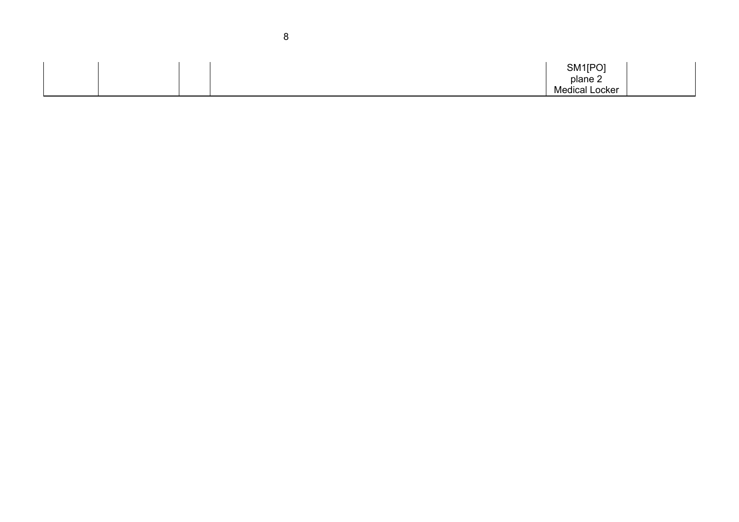|  | SM1[PO]               |  |
|--|-----------------------|--|
|  | plane 2               |  |
|  | <b>Medical Locker</b> |  |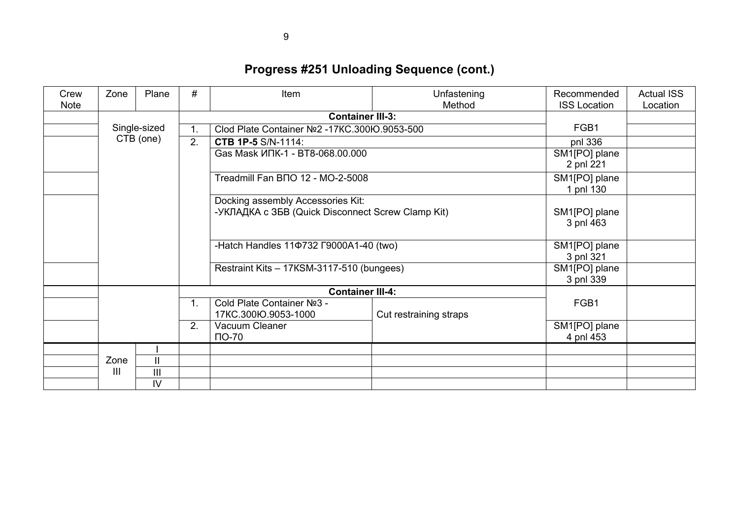| Crew<br><b>Note</b> | Zone           | Plane          | #  | Item                                              | Unfastening<br>Method                             | Recommended<br><b>ISS Location</b> | <b>Actual ISS</b><br>Location |
|---------------------|----------------|----------------|----|---------------------------------------------------|---------------------------------------------------|------------------------------------|-------------------------------|
|                     |                |                |    | <b>Container III-3:</b>                           |                                                   |                                    |                               |
|                     |                | Single-sized   | 1. | Clod Plate Container Nº2 -17KC.300Ю.9053-500      |                                                   | FGB1                               |                               |
|                     |                | CTB (one)      | 2. | <b>CTB 1P-5 S/N-1114:</b>                         |                                                   | pnl 336                            |                               |
|                     |                |                |    | Gas Mask ИПК-1 - BT8-068.00.000                   |                                                   | SM1[PO] plane<br>2 pnl 221         |                               |
|                     |                |                |    | Treadmill Fan BNO 12 - MO-2-5008                  |                                                   | SM1[PO] plane<br>1 pnl 130         |                               |
|                     |                |                |    | Docking assembly Accessories Kit:                 |                                                   |                                    |                               |
|                     |                |                |    |                                                   | -УКЛАДКА с ЗБВ (Quick Disconnect Screw Clamp Kit) |                                    |                               |
|                     |                |                |    | -Hatch Handles 11¢732 F9000A1-40 (two)            |                                                   | SM1[PO] plane<br>3 pnl 321         |                               |
|                     |                |                |    | Restraint Kits - 17KSM-3117-510 (bungees)         | SM1[PO] plane<br>3 pnl 339                        |                                    |                               |
|                     |                |                |    | <b>Container III-4:</b>                           |                                                   |                                    |                               |
|                     |                |                | 1. | Cold Plate Container Nº3 -<br>17KC.300Ю.9053-1000 | Cut restraining straps                            | FGB1                               |                               |
|                     |                |                | 2. | Vacuum Cleaner<br>$\overline{10} - 70$            |                                                   | SM1[PO] plane<br>4 pnl 453         |                               |
|                     |                |                |    |                                                   |                                                   |                                    |                               |
|                     | Zone           | $\mathbf{I}$   |    |                                                   |                                                   |                                    |                               |
|                     | $\mathbf{III}$ | $\mathbf{III}$ |    |                                                   |                                                   |                                    |                               |
|                     | IV             |                |    |                                                   |                                                   |                                    |                               |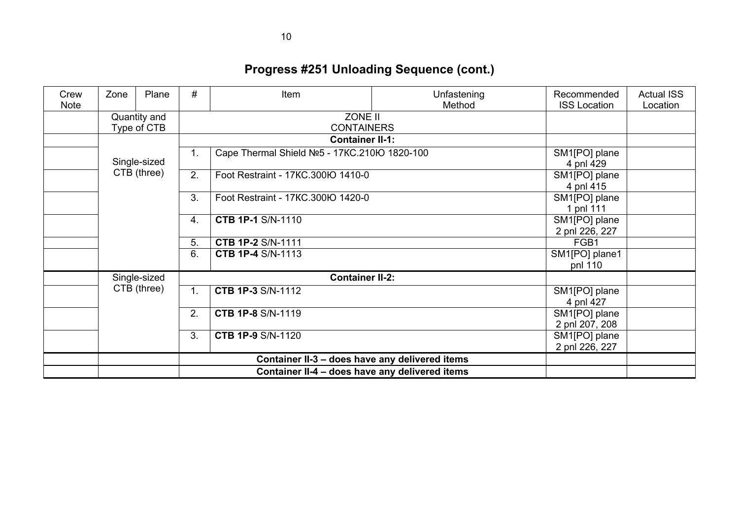| Crew<br><b>Note</b> | Zone | Plane                         | #  | Item                                           | Unfastening<br>Method | Recommended<br><b>ISS Location</b> | <b>Actual ISS</b><br>Location |
|---------------------|------|-------------------------------|----|------------------------------------------------|-----------------------|------------------------------------|-------------------------------|
|                     |      | Quantity and                  |    | ZONE II                                        |                       |                                    |                               |
|                     |      | Type of CTB                   |    | <b>CONTAINERS</b>                              |                       |                                    |                               |
|                     |      |                               |    | <b>Container II-1:</b>                         |                       |                                    |                               |
|                     |      | Single-sized                  | 1. | Cape Thermal Shield Nº5 - 17KC.210Ю 1820-100   |                       | SM1[PO] plane                      |                               |
|                     |      |                               |    |                                                |                       | 4 pnl 429                          |                               |
|                     |      | CTB (three)                   | 2. | Foot Restraint - 17KC.300Ю 1410-0              |                       | SM1[PO] plane                      |                               |
|                     |      |                               |    |                                                |                       | 4 pnl 415                          |                               |
|                     |      |                               | 3. | Foot Restraint - 17KC.300IO 1420-0             |                       | SM1[PO] plane                      |                               |
|                     |      |                               |    |                                                |                       | 1 pnl 111                          |                               |
|                     |      |                               | 4. | <b>CTB 1P-1 S/N-1110</b>                       |                       | SM1[PO] plane                      |                               |
|                     |      |                               |    |                                                |                       | 2 pnl 226, 227                     |                               |
|                     |      |                               | 5. | <b>CTB 1P-2 S/N-1111</b>                       |                       | FGB1                               |                               |
|                     |      |                               | 6. | <b>CTB 1P-4 S/N-1113</b>                       |                       | SM1[PO] plane1                     |                               |
|                     |      |                               |    |                                                |                       | pnl 110                            |                               |
|                     |      | Single-sized                  |    | <b>Container II-2:</b>                         |                       |                                    |                               |
|                     |      | CTB (three)<br>1 <sub>1</sub> |    | <b>CTB 1P-3 S/N-1112</b>                       |                       | SM1[PO] plane                      |                               |
|                     |      |                               |    |                                                |                       | 4 pnl 427                          |                               |
|                     |      |                               | 2. | <b>CTB 1P-8 S/N-1119</b>                       |                       | SM1[PO] plane                      |                               |
|                     |      |                               |    |                                                |                       | 2 pnl 207, 208                     |                               |
|                     |      |                               | 3. | <b>CTB 1P-9 S/N-1120</b>                       |                       | SM1[PO] plane                      |                               |
|                     |      |                               |    |                                                |                       | 2 pnl 226, 227                     |                               |
|                     |      |                               |    | Container II-3 - does have any delivered items |                       |                                    |                               |
|                     |      |                               |    | Container II-4 - does have any delivered items |                       |                                    |                               |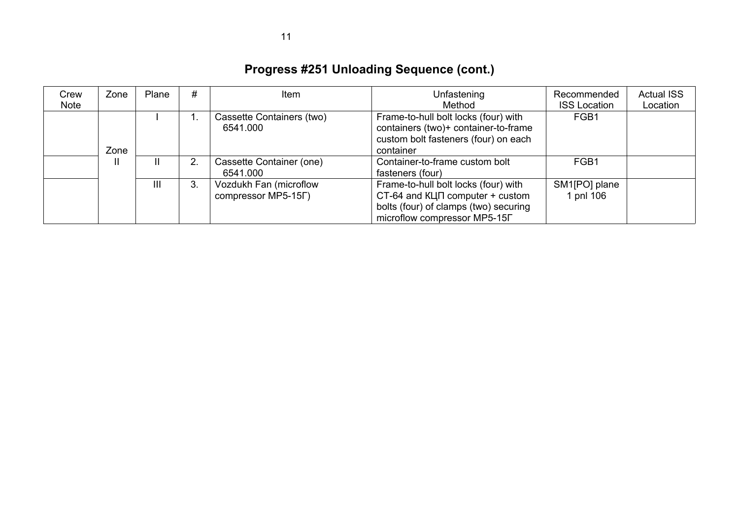| Crew<br>Note | Zone | Plane | #  | Item                                          | Unfastening<br>Method                                                                                                                                   | Recommended<br><b>ISS Location</b> | <b>Actual ISS</b><br>Location |
|--------------|------|-------|----|-----------------------------------------------|---------------------------------------------------------------------------------------------------------------------------------------------------------|------------------------------------|-------------------------------|
|              | Zone |       |    | Cassette Containers (two)<br>6541.000         | Frame-to-hull bolt locks (four) with<br>containers (two)+ container-to-frame<br>custom bolt fasteners (four) on each<br>container                       | FGB1                               |                               |
|              | Ш    | Ш.    |    | Cassette Container (one)<br>6541.000          | Container-to-frame custom bolt<br>fasteners (four)                                                                                                      | FGB1                               |                               |
|              |      | III   | 3. | Vozdukh Fan (microflow<br>COMPTESSOR MP5-15F) | Frame-to-hull bolt locks (four) with<br>$CT-64$ and $KL \Pi$ computer + custom<br>bolts (four) of clamps (two) securing<br>microflow compressor MP5-15F | SM1[PO] plane<br>1 pnl 106         |                               |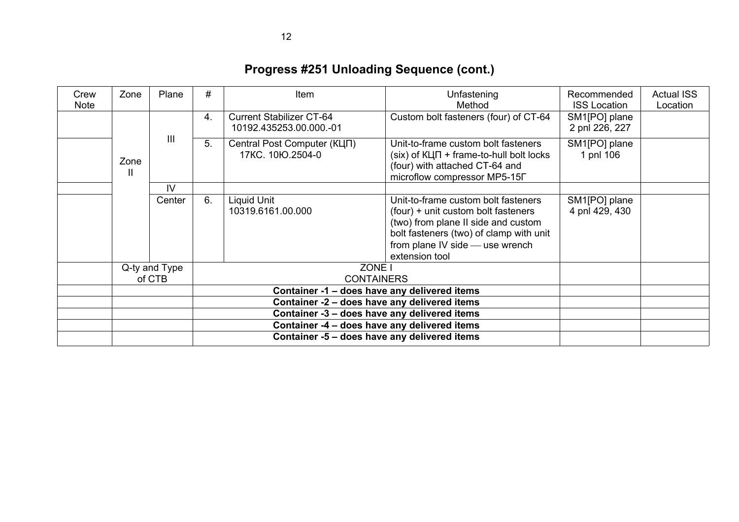| Crew<br><b>Note</b> | Zone      | Plane         | #  | Item                                                       | Unfastening<br>Method                                                                                                                                                                                             | Recommended<br><b>ISS Location</b> | <b>Actual ISS</b><br>Location |
|---------------------|-----------|---------------|----|------------------------------------------------------------|-------------------------------------------------------------------------------------------------------------------------------------------------------------------------------------------------------------------|------------------------------------|-------------------------------|
|                     |           |               | 4. | <b>Current Stabilizer CT-64</b><br>10192.435253.00.000.-01 | Custom bolt fasteners (four) of CT-64                                                                                                                                                                             | SM1[PO] plane<br>2 pnl 226, 227    |                               |
|                     | Zone<br>Ш | Ш             | 5. | Central Post Computer (КЦП)<br>17KC. 10Ю.2504-0            | Unit-to-frame custom bolt fasteners<br>$(six)$ of $K\Box\Pi$ + frame-to-hull bolt locks<br>(four) with attached CT-64 and<br>microflow compressor MP5-15Г                                                         | SM1[PO] plane<br>1 pnl 106         |                               |
|                     |           | IV            |    |                                                            |                                                                                                                                                                                                                   |                                    |                               |
|                     |           | Center        | 6. | Liquid Unit<br>10319.6161.00.000                           | Unit-to-frame custom bolt fasteners<br>(four) + unit custom bolt fasteners<br>(two) from plane II side and custom<br>bolt fasteners (two) of clamp with unit<br>from plane IV side - use wrench<br>extension tool | SM1[PO] plane<br>4 pnl 429, 430    |                               |
|                     |           | Q-ty and Type |    | ZONE I                                                     |                                                                                                                                                                                                                   |                                    |                               |
|                     |           | of CTB        |    | <b>CONTAINERS</b>                                          |                                                                                                                                                                                                                   |                                    |                               |
|                     |           |               |    | Container -1 - does have any delivered items               |                                                                                                                                                                                                                   |                                    |                               |
|                     |           |               |    | Container -2 - does have any delivered items               |                                                                                                                                                                                                                   |                                    |                               |
|                     |           |               |    | Container -3 - does have any delivered items               |                                                                                                                                                                                                                   |                                    |                               |
|                     |           |               |    | Container -4 - does have any delivered items               |                                                                                                                                                                                                                   |                                    |                               |
|                     |           |               |    | Container -5 - does have any delivered items               |                                                                                                                                                                                                                   |                                    |                               |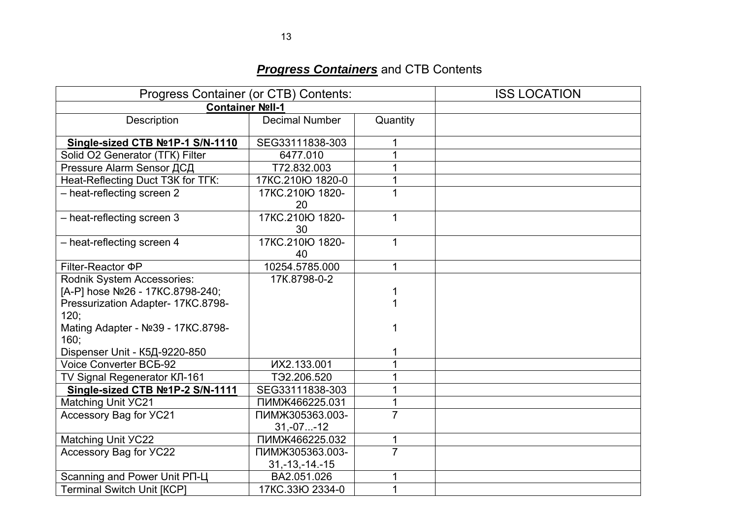## *Progress Containers* and CTB Contents

| Progress Container (or CTB) Contents:                          | <b>ISS LOCATION</b>     |                |  |
|----------------------------------------------------------------|-------------------------|----------------|--|
| Container Noll-1                                               |                         |                |  |
| Description                                                    | <b>Decimal Number</b>   | Quantity       |  |
| Single-sized CTB №1P-1 S/N-1110                                | SEG33111838-303         | 1              |  |
| Solid O2 Generator (TFK) Filter                                | 6477.010                |                |  |
| Pressure Alarm Sensor ДСД                                      | T72.832.003             |                |  |
| Heat-Reflecting Duct T3K for TFK:                              | 17KC.210Ю 1820-0        | 1              |  |
| - heat-reflecting screen 2                                     | 17KC.210IO 1820-<br>20  | 1              |  |
| - heat-reflecting screen 3                                     | 17KC.210Ю 1820-<br>30   | $\mathbf 1$    |  |
| - heat-reflecting screen 4                                     | 17KC.210Ю 1820-<br>40   | 1              |  |
| Filter-Reactor <b>PP</b>                                       | 10254.5785.000          | 1              |  |
| Rodnik System Accessories:<br>[A-P] hose Nº26 - 17KC.8798-240; | 17K.8798-0-2            |                |  |
| Pressurization Adapter- 17KC.8798-<br>120;                     |                         |                |  |
| Mating Adapter - Nº39 - 17KC.8798-<br>160.                     |                         |                |  |
| Dispenser Unit - К5Д-9220-850                                  |                         |                |  |
| Voice Converter BC5-92                                         | <b>ИХ2.133.001</b>      | 1              |  |
| TV Signal Regenerator КЛ-161                                   | T <sub>92.206.520</sub> | 1              |  |
| Single-sized CTB Nº1P-2 S/N-1111                               | SEG33111838-303         |                |  |
| Matching Unit YC21                                             | ПИМЖ466225.031          | 1              |  |
| Accessory Bag for YC21                                         | ПИМЖ305363.003-         | $\overline{7}$ |  |
|                                                                | $31,-07-12$             |                |  |
| <b>Matching Unit YC22</b>                                      | ПИМЖ466225.032          | 1              |  |
| Accessory Bag for YC22                                         | ПИМЖ305363.003-         | $\overline{7}$ |  |
|                                                                | $31, -13, -14, -15$     |                |  |
| Scanning and Power Unit PN-U                                   | BA2.051.026             | 1              |  |
| <b>Terminal Switch Unit [KCP]</b>                              | 17KC.33IO 2334-0        | 1              |  |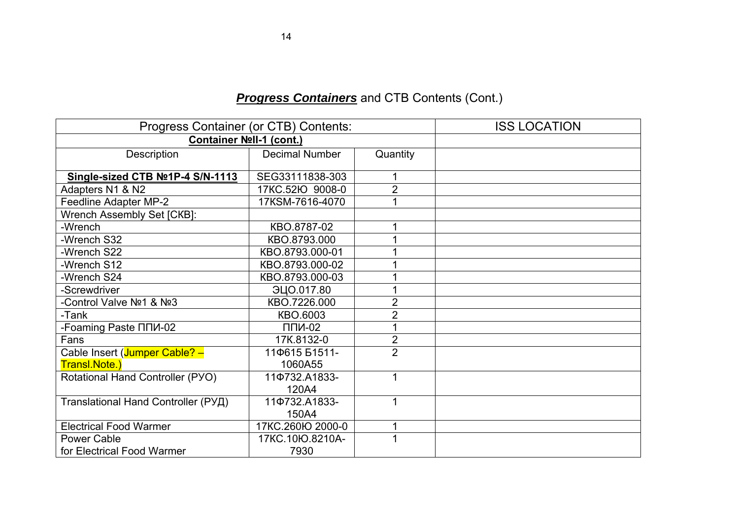| Progress Container (or CTB) Contents: | <b>ISS LOCATION</b>   |                |  |
|---------------------------------------|-----------------------|----------------|--|
| Container Noll-1 (cont.)              |                       |                |  |
| Description                           | <b>Decimal Number</b> | Quantity       |  |
|                                       |                       |                |  |
| Single-sized CTB №1P-4 S/N-1113       | SEG33111838-303       | 1              |  |
| Adapters N1 & N2                      | 17KC.52IO 9008-0      | $\overline{2}$ |  |
| Feedline Adapter MP-2                 | 17KSM-7616-4070       |                |  |
| Wrench Assembly Set [CKB]:            |                       |                |  |
| -Wrench                               | KBO.8787-02           |                |  |
| -Wrench S32                           | KBO.8793.000          |                |  |
| -Wrench S22                           | KBO.8793.000-01       |                |  |
| -Wrench S12                           | KBO.8793.000-02       |                |  |
| -Wrench S24                           | KBO.8793.000-03       |                |  |
| -Screwdriver                          | ЭЦО.017.80            |                |  |
| -Control Valve Nº1 & Nº3              | KBO.7226.000          | $\overline{2}$ |  |
| -Tank                                 | KBO.6003              | $\overline{2}$ |  |
| -Foaming Paste NNM-02                 | $\Pi\Pi M-02$         |                |  |
| Fans                                  | 17K.8132-0            | $\overline{2}$ |  |
| Cable Insert (Jumper Cable? -         | 11Ф615 Б1511-         | $\overline{2}$ |  |
| Transl.Note.)                         | 1060A55               |                |  |
| Rotational Hand Controller (PYO)      | 11Ф732.A1833-         | 1              |  |
|                                       | 120A4                 |                |  |
| Translational Hand Controller (РУД)   | 11Ф732.A1833-         | 1              |  |
|                                       | 150A4                 |                |  |
| <b>Electrical Food Warmer</b>         | 17KC.260Ю 2000-0      | 1              |  |
| <b>Power Cable</b>                    | 17KC.10Ю.8210A-       | 1              |  |
| for Electrical Food Warmer            | 7930                  |                |  |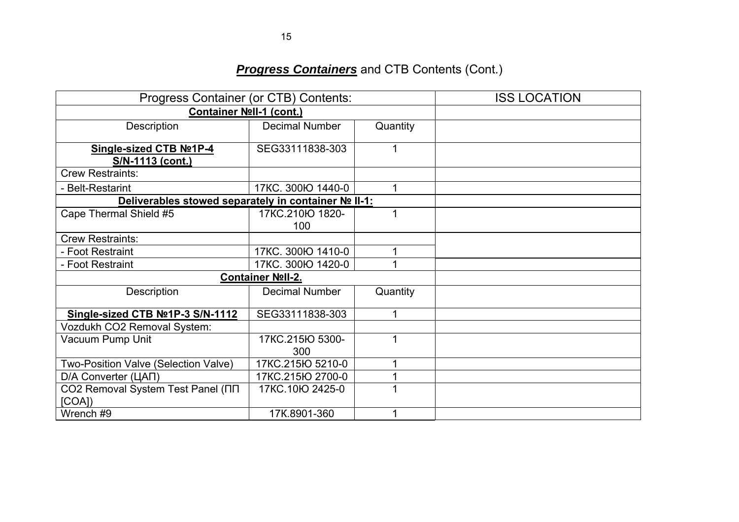| Progress Container (or CTB) Contents:                | <b>ISS LOCATION</b>     |          |  |
|------------------------------------------------------|-------------------------|----------|--|
| Container Noll-1 (cont.)                             |                         |          |  |
| Description                                          | <b>Decimal Number</b>   | Quantity |  |
| Single-sized CTB Nº1P-4<br>S/N-1113 (cont.)          | SEG33111838-303         |          |  |
| <b>Crew Restraints:</b>                              |                         |          |  |
| - Belt-Restarint                                     | 17KC. 300IO 1440-0      |          |  |
| Deliverables stowed separately in container Nº II-1: |                         |          |  |
| Cape Thermal Shield #5                               | 17KC.210lO 1820-<br>100 |          |  |
| <b>Crew Restraints:</b>                              |                         |          |  |
| - Foot Restraint                                     | 17KC. 300Ю 1410-0       |          |  |
| - Foot Restraint                                     | 17KC. 300Ю 1420-0       |          |  |
|                                                      | Container Noll-2.       |          |  |
| Description                                          | <b>Decimal Number</b>   | Quantity |  |
| Single-sized CTB No1P-3 S/N-1112                     | SEG33111838-303         | 4        |  |
| Vozdukh CO2 Removal System:                          |                         |          |  |
| Vacuum Pump Unit                                     | 17KC.215Ю 5300-<br>300  |          |  |
| Two-Position Valve (Selection Valve)                 | 17KC.215lO 5210-0       |          |  |
| D/A Converter (ЦАП)                                  | 17KC.215Ю 2700-0        |          |  |
| CO2 Removal System Test Panel (NN<br>[COA]           | 17KC.10Ю 2425-0         |          |  |
| Wrench #9                                            | 17K.8901-360            |          |  |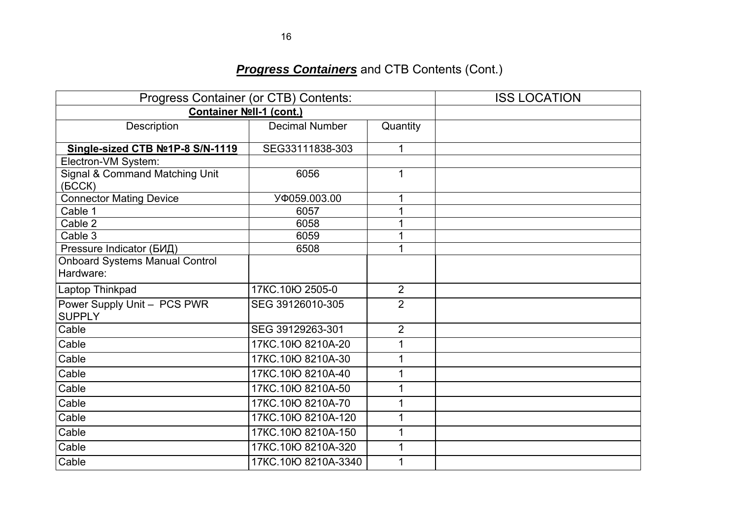| Progress Container (or CTB) Contents:               | <b>ISS LOCATION</b>   |                |  |
|-----------------------------------------------------|-----------------------|----------------|--|
| Container Noll-1 (cont.)                            |                       |                |  |
| Description                                         | <b>Decimal Number</b> | Quantity       |  |
| Single-sized CTB Nº1P-8 S/N-1119                    | SEG33111838-303       | 1              |  |
| Electron-VM System:                                 |                       |                |  |
| <b>Signal &amp; Command Matching Unit</b><br>(BCCK) | 6056                  | 1              |  |
| <b>Connector Mating Device</b>                      | УФ059.003.00          |                |  |
| Cable 1                                             | 6057                  | 1              |  |
| Cable 2                                             | 6058                  |                |  |
| Cable 3                                             | 6059                  | 1              |  |
| Pressure Indicator (БИД)                            | 6508                  | 1              |  |
| <b>Onboard Systems Manual Control</b>               |                       |                |  |
| Hardware:                                           |                       |                |  |
| Laptop Thinkpad                                     | 17KC.10Ю 2505-0       | $\overline{2}$ |  |
| Power Supply Unit - PCS PWR<br><b>SUPPLY</b>        | SEG 39126010-305      | $\overline{2}$ |  |
| Cable                                               | SEG 39129263-301      | $\overline{2}$ |  |
| Cable                                               | 17KC.10lO 8210A-20    | 1              |  |
| Cable                                               | 17KC.10lO 8210A-30    | 1              |  |
| Cable                                               | 17KC.10Ю 8210A-40     | 1              |  |
| Cable                                               | 17KC.10lO 8210A-50    | 1              |  |
| Cable                                               | 17KC.10Ю 8210А-70     | 1              |  |
| Cable                                               | 17KC.10Ю 8210A-120    | 1              |  |
| Cable                                               | 17KC.10Ю 8210A-150    | 1              |  |
| Cable                                               | 17KC.10Ю 8210A-320    | 1              |  |
| Cable                                               | 17KC.10Ю 8210А-3340   | 1              |  |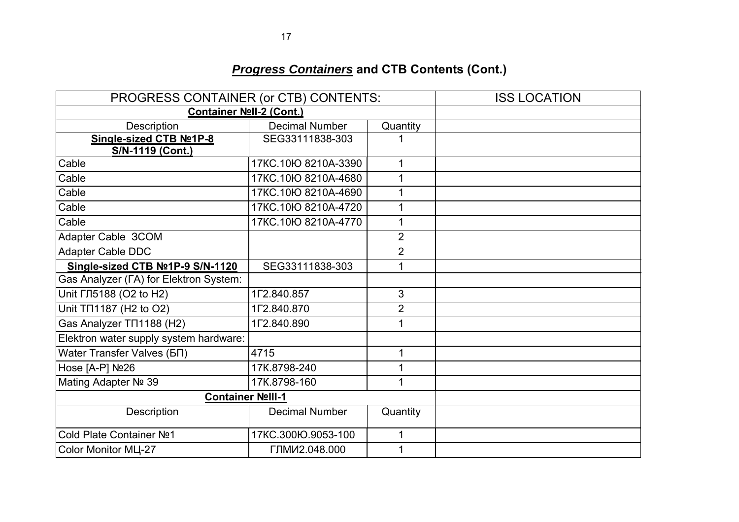| PROGRESS CONTAINER (or CTB) CONTENTS:  |                       |                | <b>ISS LOCATION</b> |
|----------------------------------------|-----------------------|----------------|---------------------|
| Container Noll-2 (Cont.)               |                       |                |                     |
| Description                            | <b>Decimal Number</b> | Quantity       |                     |
| Single-sized CTB Nº1P-8                | SEG33111838-303       |                |                     |
| S/N-1119 (Cont.)                       |                       |                |                     |
| Cable                                  | 17KC.10lO 8210A-3390  | 1              |                     |
| Cable                                  | 17KC.10Ю 8210А-4680   | $\mathbf{1}$   |                     |
| Cable                                  | 17KC.10Ю 8210A-4690   | 1              |                     |
| Cable                                  | 17KC.10Ю 8210A-4720   | $\mathbf{1}$   |                     |
| Cable                                  | 17KC.10Ю 8210A-4770   | $\mathbf{1}$   |                     |
| Adapter Cable 3COM                     |                       | $\overline{2}$ |                     |
| Adapter Cable DDC                      |                       | $\overline{2}$ |                     |
| Single-sized CTB Nº1P-9 S/N-1120       | SEG33111838-303       | $\mathbf{1}$   |                     |
| Gas Analyzer (FA) for Elektron System: |                       |                |                     |
| Unit ГЛ5188 (O2 to H2)                 | 1Г2.840.857           | 3              |                     |
| Unit TΠ1187 (H2 to O2)                 | 1Г2.840.870           | $\overline{2}$ |                     |
| Gas Analyzer TN1188 (H2)               | 1Г2.840.890           | 1              |                     |
| Elektron water supply system hardware: |                       |                |                     |
| Water Transfer Valves (БП)             | 4715                  | 1              |                     |
| Hose [A-P] Nº26                        | 17K.8798-240          | 1              |                     |
| Mating Adapter Nº 39                   | 17K.8798-160          | 1              |                     |
| <b>Container Nolll-1</b>               |                       |                |                     |
| Description                            | <b>Decimal Number</b> | Quantity       |                     |
| Cold Plate Container Nº1               | 17KC.300IO.9053-100   | 1              |                     |
| Color Monitor MLI-27                   | ГЛМИ2.048.000         | 1              |                     |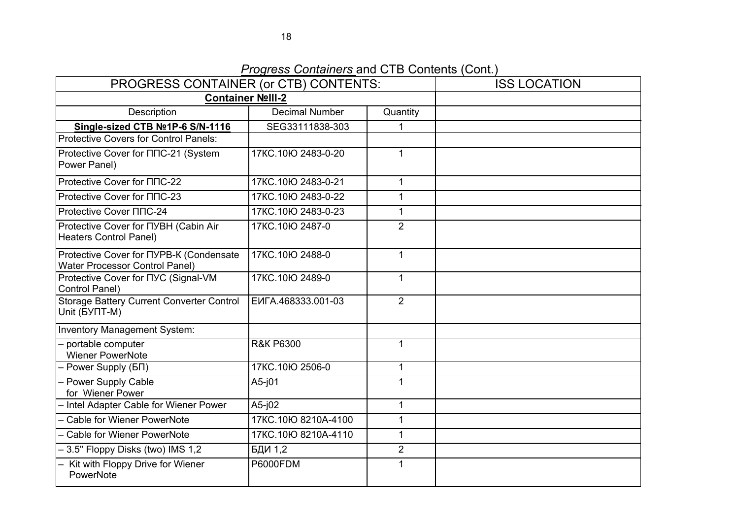*Progress Containers* and CTB Contents (Cont.)

| PROGRESS CONTAINER (or CTB) CONTENTS:                                            |                         | <b>ISS LOCATION</b> |  |
|----------------------------------------------------------------------------------|-------------------------|---------------------|--|
|                                                                                  | <b>Container Noll-2</b> |                     |  |
| Description                                                                      | <b>Decimal Number</b>   | Quantity            |  |
| Single-sized CTB Nº1P-6 S/N-1116                                                 | SEG33111838-303         |                     |  |
| <b>Protective Covers for Control Panels:</b>                                     |                         |                     |  |
| Protective Cover for NNC-21 (System<br>Power Panel)                              | 17KC.10Ю 2483-0-20      | $\mathbf{1}$        |  |
| Protective Cover for $\Pi$ nC-22                                                 | 17KC.10Ю 2483-0-21      | $\mathbf 1$         |  |
| Protective Cover for $\Pi$ nC-23                                                 | 17KC.10Ю 2483-0-22      | $\mathbf 1$         |  |
| Protective Cover NNC-24                                                          | 17KC.10Ю 2483-0-23      | $\mathbf{1}$        |  |
| Protective Cover for NYBH (Cabin Air<br><b>Heaters Control Panel)</b>            | 17KC.10Ю 2487-0         | $\overline{2}$      |  |
| Protective Cover for NYPB-K (Condensate<br><b>Water Processor Control Panel)</b> | 17KC.10Ю 2488-0         | $\mathbf{1}$        |  |
| Protective Cover for NYC (Signal-VM<br>Control Panel)                            | 17KC.10Ю 2489-0         | $\mathbf{1}$        |  |
| <b>Storage Battery Current Converter Control</b><br>Unit (BYNT-M)                | EVITA.468333.001-03     | $\overline{2}$      |  |
| Inventory Management System:                                                     |                         |                     |  |
| - portable computer<br><b>Wiener PowerNote</b>                                   | <b>R&amp;K P6300</b>    | $\mathbf{1}$        |  |
| - Power Supply (БП)                                                              | 17KC.10Ю 2506-0         | $\mathbf{1}$        |  |
| - Power Supply Cable<br>for Wiener Power                                         | $A5-j01$                | $\mathbf 1$         |  |
| - Intel Adapter Cable for Wiener Power                                           | $A5-j02$                | $\mathbf 1$         |  |
| - Cable for Wiener PowerNote                                                     | 17KC.10Ю 8210А-4100     | $\mathbf{1}$        |  |
| - Cable for Wiener PowerNote                                                     | 17KC.10Ю 8210A-4110     | $\mathbf{1}$        |  |
| - 3.5" Floppy Disks (two) IMS 1,2                                                | БДИ 1,2                 | $\overline{2}$      |  |
| - Kit with Floppy Drive for Wiener<br>PowerNote                                  | <b>P6000FDM</b>         | $\mathbf{1}$        |  |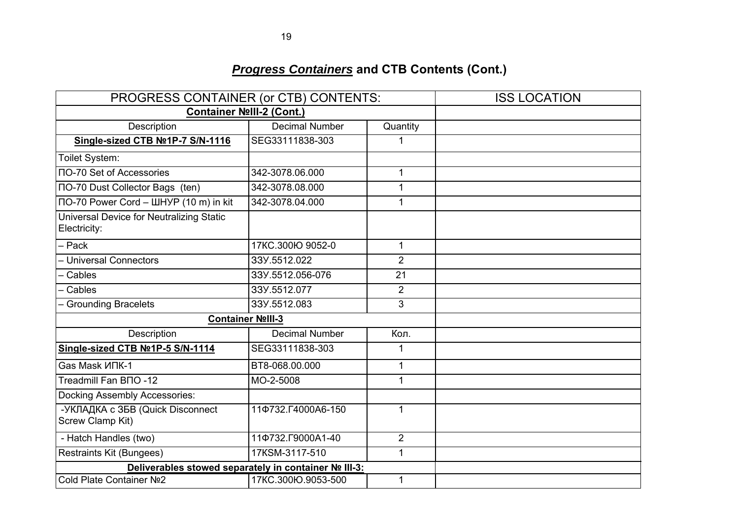|                                                          | PROGRESS CONTAINER (or CTB) CONTENTS:                |                |  |
|----------------------------------------------------------|------------------------------------------------------|----------------|--|
|                                                          | Container NºIII-2 (Cont.)                            |                |  |
| Description                                              | <b>Decimal Number</b>                                | Quantity       |  |
| Single-sized CTB Nº1P-7 S/N-1116                         | SEG33111838-303                                      | 1              |  |
| Toilet System:                                           |                                                      |                |  |
| <b>NO-70 Set of Accessories</b>                          | 342-3078.06.000                                      | $\mathbf{1}$   |  |
| <b>NO-70 Dust Collector Bags (ten)</b>                   | 342-3078.08.000                                      | $\mathbf{1}$   |  |
| ПО-70 Power Cord - ШНУР (10 m) in kit                    | 342-3078.04.000                                      | $\mathbf{1}$   |  |
| Universal Device for Neutralizing Static<br>Electricity: |                                                      |                |  |
| - Pack                                                   | 17KC.300Ю 9052-0                                     | $\mathbf{1}$   |  |
| - Universal Connectors                                   | 33Y.5512.022                                         | $\overline{2}$ |  |
| - Cables                                                 | 33Y.5512.056-076                                     | 21             |  |
| - Cables                                                 | 33Y.5512.077                                         | $\overline{2}$ |  |
| - Grounding Bracelets                                    | 33Y.5512.083                                         | 3              |  |
|                                                          | Container Nolll-3                                    |                |  |
| Description                                              | <b>Decimal Number</b>                                | Кол.           |  |
| Single-sized CTB Nº1P-5 S/N-1114                         | SEG33111838-303                                      | 1              |  |
| Gas Mask <i>VINK-1</i>                                   | BT8-068.00.000                                       | $\mathbf{1}$   |  |
| Treadmill Fan BNO -12                                    | MO-2-5008                                            | 1              |  |
| Docking Assembly Accessories:                            |                                                      |                |  |
| -УКЛАДКА с ЗБВ (Quick Disconnect<br>Screw Clamp Kit)     | 11Ф732.Г4000А6-150                                   | $\mathbf{1}$   |  |
| - Hatch Handles (two)                                    | 110732. [9000A1-40]                                  | $\overline{2}$ |  |
| Restraints Kit (Bungees)                                 | 17KSM-3117-510                                       | $\mathbf{1}$   |  |
|                                                          | Deliverables stowed separately in container № III-3: |                |  |
| Cold Plate Container Nº2                                 | 17KC.300Ю.9053-500                                   | $\mathbf{1}$   |  |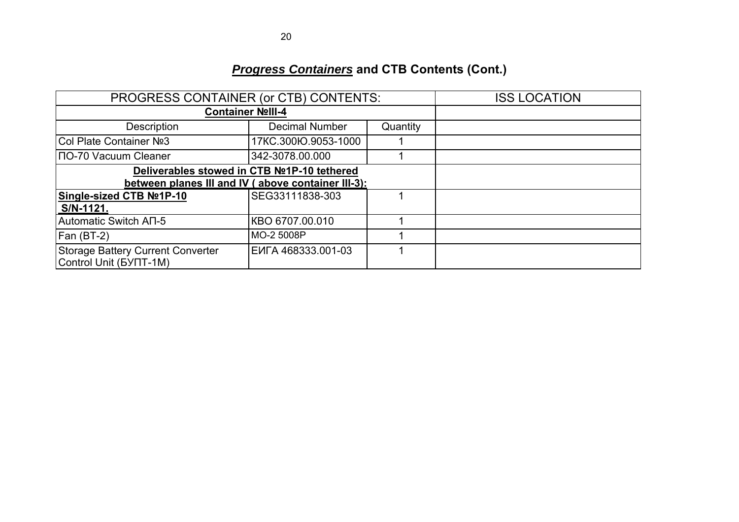|                                                             | PROGRESS CONTAINER (or CTB) CONTENTS: |          |  |  |  |
|-------------------------------------------------------------|---------------------------------------|----------|--|--|--|
| Container Nolll-4                                           |                                       |          |  |  |  |
| <b>Description</b>                                          | <b>Decimal Number</b>                 | Quantity |  |  |  |
| Col Plate Container Nº3                                     | 17KC.300IO.9053-1000                  |          |  |  |  |
| ПО-70 Vacuum Cleaner                                        | 342-3078.00.000                       |          |  |  |  |
| Deliverables stowed in CTB №1P-10 tethered                  |                                       |          |  |  |  |
| between planes III and IV (above container III-3):          |                                       |          |  |  |  |
| Single-sized CTB Nº1P-10                                    | SEG33111838-303                       |          |  |  |  |
| S/N-1121.                                                   |                                       |          |  |  |  |
| Automatic Switch AN-5                                       | KBO 6707.00.010                       |          |  |  |  |
| Fan (BT-2)                                                  | MO-2 5008P                            |          |  |  |  |
| Storage Battery Current Converter<br>Control Unit (BYIT-1M) | ENTA 468333.001-03                    |          |  |  |  |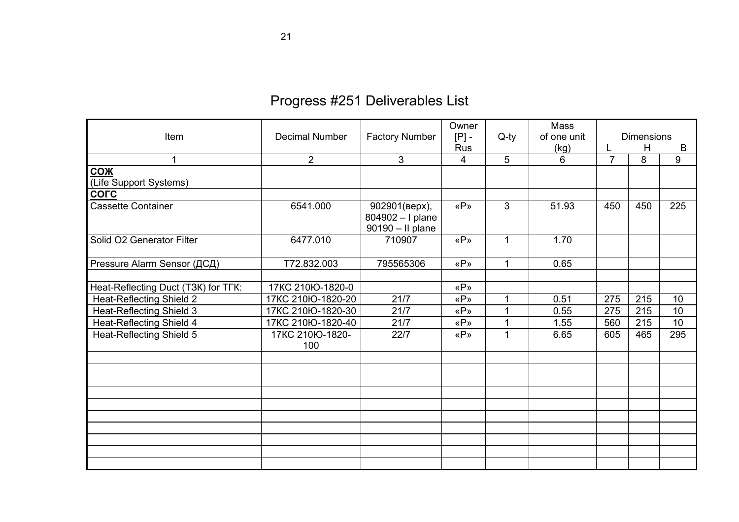# Progress #251 Deliverables List

|                                     |                       |                       | Owner      |              | Mass        |                |                   |     |
|-------------------------------------|-----------------------|-----------------------|------------|--------------|-------------|----------------|-------------------|-----|
| Item                                | <b>Decimal Number</b> | <b>Factory Number</b> | $[P]$ -    | $Q$ -ty      | of one unit |                | <b>Dimensions</b> |     |
|                                     |                       |                       | <b>Rus</b> |              | (kg)        | L              | H                 | B   |
| $\mathbf 1$                         | $\overline{2}$        | 3                     | 4          | 5            | 6           | $\overline{7}$ | 8                 | 9   |
| <b>СОЖ</b>                          |                       |                       |            |              |             |                |                   |     |
| (Life Support Systems)              |                       |                       |            |              |             |                |                   |     |
| <b>COLC</b>                         |                       |                       |            |              |             |                |                   |     |
| <b>Cassette Container</b>           | 6541.000              | 902901(верх),         | «P»        | 3            | 51.93       | 450            | 450               | 225 |
|                                     |                       | 804902 - I plane      |            |              |             |                |                   |     |
|                                     |                       | 90190 - Il plane      |            |              |             |                |                   |     |
| Solid O2 Generator Filter           | 6477.010              | 710907                | «P»        | $\mathbf 1$  | 1.70        |                |                   |     |
|                                     |                       |                       |            |              |             |                |                   |     |
| Pressure Alarm Sensor (ДСД)         | T72.832.003           | 795565306             | «P»        | $\mathbf{1}$ | 0.65        |                |                   |     |
|                                     |                       |                       |            |              |             |                |                   |     |
| Heat-Reflecting Duct (T3K) for TFK: | 17KC 210Ю-1820-0      |                       | «P»        |              |             |                |                   |     |
| <b>Heat-Reflecting Shield 2</b>     | 17KC 210Ю-1820-20     | 21/7                  | «P»        |              | 0.51        | 275            | 215               | 10  |
| <b>Heat-Reflecting Shield 3</b>     | 17KC 210łO-1820-30    | 21/7                  | «P»        |              | 0.55        | 275            | 215               | 10  |
| Heat-Reflecting Shield 4            | 17KC 210łO-1820-40    | 21/7                  | «P»        | 1            | 1.55        | 560            | 215               | 10  |
| Heat-Reflecting Shield 5            | 17KC 210IO-1820-      | 22/7                  | «P»        | 1            | 6.65        | 605            | 465               | 295 |
|                                     | 100                   |                       |            |              |             |                |                   |     |
|                                     |                       |                       |            |              |             |                |                   |     |
|                                     |                       |                       |            |              |             |                |                   |     |
|                                     |                       |                       |            |              |             |                |                   |     |
|                                     |                       |                       |            |              |             |                |                   |     |
|                                     |                       |                       |            |              |             |                |                   |     |
|                                     |                       |                       |            |              |             |                |                   |     |
|                                     |                       |                       |            |              |             |                |                   |     |
|                                     |                       |                       |            |              |             |                |                   |     |
|                                     |                       |                       |            |              |             |                |                   |     |
|                                     |                       |                       |            |              |             |                |                   |     |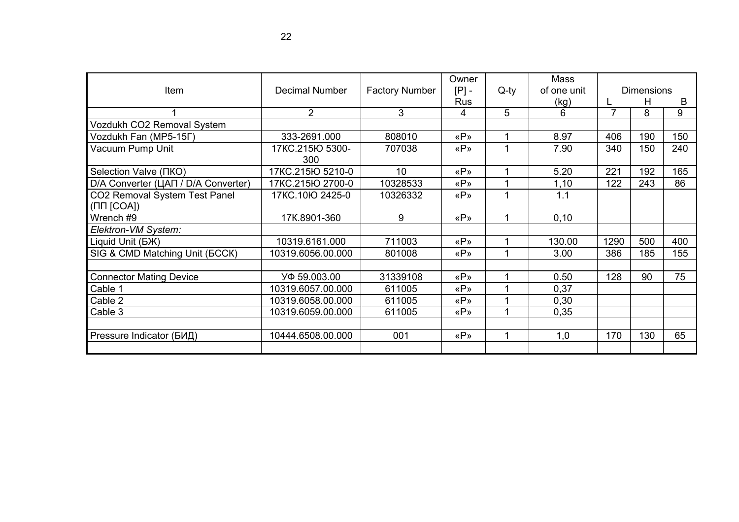|                                     |                       |                       | Owner      |         | Mass        |                |                   |     |
|-------------------------------------|-----------------------|-----------------------|------------|---------|-------------|----------------|-------------------|-----|
| Item                                | <b>Decimal Number</b> | <b>Factory Number</b> | $[P]$ -    | $Q$ -ty | of one unit |                | <b>Dimensions</b> |     |
|                                     |                       |                       | <b>Rus</b> |         | (kg)        |                | H                 | B   |
|                                     | $\overline{2}$        | 3                     | 4          | 5       | 6           | $\overline{7}$ | 8                 | 9   |
| Vozdukh CO2 Removal System          |                       |                       |            |         |             |                |                   |     |
| Vozdukh Fan (MP5-15Г)               | 333-2691.000          | 808010                | «P»        |         | 8.97        | 406            | 190               | 150 |
| Vacuum Pump Unit                    | 17KC.215Ю 5300-       | 707038                | «P»        |         | 7.90        | 340            | 150               | 240 |
|                                     | 300                   |                       |            |         |             |                |                   |     |
| Selection Valve ( $\Pi KO$ )        | 17KC.215Ю 5210-0      | 10                    | «P»        |         | 5.20        | 221            | 192               | 165 |
| D/A Converter (ЦАП / D/A Converter) | 17KC.215Ю 2700-0      | 10328533              | «P»        |         | 1,10        | 122            | 243               | 86  |
| CO2 Removal System Test Panel       | 17KC.10Ю 2425-0       | 10326332              | «P»        | 1       | 1.1         |                |                   |     |
| $( \Pi \Pi$ [COA])                  |                       |                       |            |         |             |                |                   |     |
| Wrench #9                           | 17K.8901-360          | 9                     | «P»        | 4       | 0, 10       |                |                   |     |
| Elektron-VM System:                 |                       |                       |            |         |             |                |                   |     |
| Liquid Unit (BX)                    | 10319.6161.000        | 711003                | «P»        |         | 130.00      | 1290           | 500               | 400 |
| SIG & CMD Matching Unit (BCCK)      | 10319.6056.00.000     | 801008                | «P»        |         | 3.00        | 386            | 185               | 155 |
|                                     |                       |                       |            |         |             |                |                   |     |
| <b>Connector Mating Device</b>      | УФ 59.003.00          | 31339108              | «P»        |         | 0.50        | 128            | 90                | 75  |
| Cable 1                             | 10319.6057.00.000     | 611005                | «P»        |         | 0,37        |                |                   |     |
| Cable 2                             | 10319.6058.00.000     | 611005                | «P»        |         | 0,30        |                |                   |     |
| Cable 3                             | 10319.6059.00.000     | 611005                | «P»        |         | 0,35        |                |                   |     |
|                                     |                       |                       |            |         |             |                |                   |     |
| Pressure Indicator (БИД)            | 10444.6508.00.000     | 001                   | «P»        |         | 1,0         | 170            | 130               | 65  |
|                                     |                       |                       |            |         |             |                |                   |     |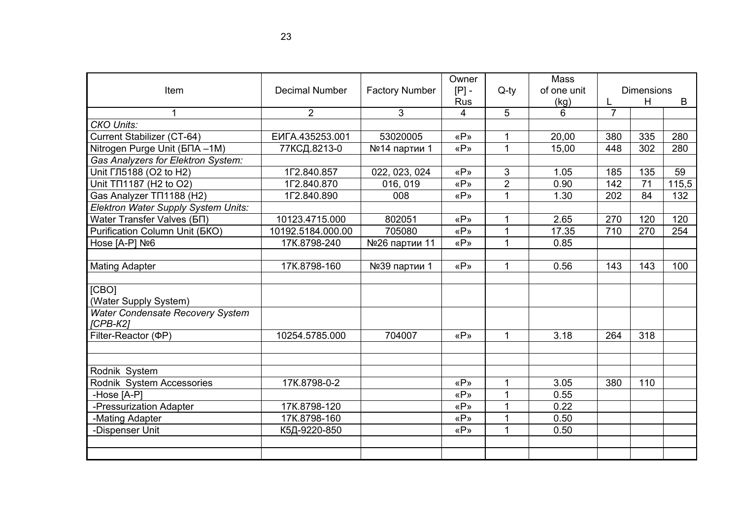| <b>Item</b>                                    | <b>Decimal Number</b> | <b>Factory Number</b> | Owner<br>$[P]$ - | $Q$ -ty        | <b>Mass</b><br>of one unit |                | <b>Dimensions</b> |       |
|------------------------------------------------|-----------------------|-----------------------|------------------|----------------|----------------------------|----------------|-------------------|-------|
|                                                |                       |                       | <b>Rus</b>       |                | (kg)                       |                | H                 | B     |
| $\mathbf{1}$                                   | $\overline{2}$        | 3                     | 4                | 5              | 6                          | $\overline{7}$ |                   |       |
| <b>CKO Units:</b>                              |                       |                       |                  |                |                            |                |                   |       |
| Current Stabilizer (CT-64)                     | EVITA.435253.001      | 53020005              | «P»              | 1              | 20,00                      | 380            | 335               | 280   |
| Nitrogen Purge Unit (БПА -1М)                  | 77КСД.8213-0          | №14 партии 1          | «P»              | $\mathbf{1}$   | 15,00                      | 448            | 302               | 280   |
| Gas Analyzers for Elektron System:             |                       |                       |                  |                |                            |                |                   |       |
| Unit ГЛ5188 (O2 to H2)                         | 1Г2.840.857           | 022, 023, 024         | «P»              | 3              | 1.05                       | 185            | 135               | 59    |
| Unit TΠ1187 (H2 to O2)                         | 1Г2.840.870           | 016, 019              | «P»              | $\overline{2}$ | 0.90                       | 142            | 71                | 115,5 |
| Gas Analyzer TN1188 (H2)                       | 1Г2.840.890           | 008                   | «P»              | $\overline{1}$ | 1.30                       | 202            | 84                | 132   |
| Elektron Water Supply System Units:            |                       |                       |                  |                |                            |                |                   |       |
| Water Transfer Valves (БП)                     | 10123.4715.000        | 802051                | «P»              | 1              | 2.65                       | 270            | 120               | 120   |
| <b>Purification Column Unit (BKO)</b>          | 10192.5184.000.00     | 705080                | «P»              | 1              | 17.35                      | 710            | 270               | 254   |
| Hose [A-P] Nº6                                 | 17K.8798-240          | №26 партии 11         | «P»              | 1              | 0.85                       |                |                   |       |
|                                                |                       |                       |                  |                |                            |                |                   |       |
| <b>Mating Adapter</b>                          | 17K.8798-160          | №39 партии 1          | «P»              | $\mathbf{1}$   | 0.56                       | 143            | 143               | 100   |
|                                                |                       |                       |                  |                |                            |                |                   |       |
| [CBO]                                          |                       |                       |                  |                |                            |                |                   |       |
| (Water Supply System)                          |                       |                       |                  |                |                            |                |                   |       |
| Water Condensate Recovery System<br>$[CPB-K2]$ |                       |                       |                  |                |                            |                |                   |       |
| Filter-Reactor (PP)                            | 10254.5785.000        | 704007                | «P»              | $\mathbf{1}$   | 3.18                       | 264            | 318               |       |
|                                                |                       |                       |                  |                |                            |                |                   |       |
|                                                |                       |                       |                  |                |                            |                |                   |       |
| Rodnik System                                  |                       |                       |                  |                |                            |                |                   |       |
| Rodnik System Accessories                      | 17K.8798-0-2          |                       | «P»              | 1              | 3.05                       | 380            | 110               |       |
| -Hose [A-P]                                    |                       |                       | «P»              | 1              | 0.55                       |                |                   |       |
| -Pressurization Adapter                        | 17K.8798-120          |                       | «P»              | 1              | 0.22                       |                |                   |       |
| -Mating Adapter                                | 17K.8798-160          |                       | «P»              | $\overline{1}$ | 0.50                       |                |                   |       |
| -Dispenser Unit                                | К5Д-9220-850          |                       | «P»              | 1              | 0.50                       |                |                   |       |
|                                                |                       |                       |                  |                |                            |                |                   |       |
|                                                |                       |                       |                  |                |                            |                |                   |       |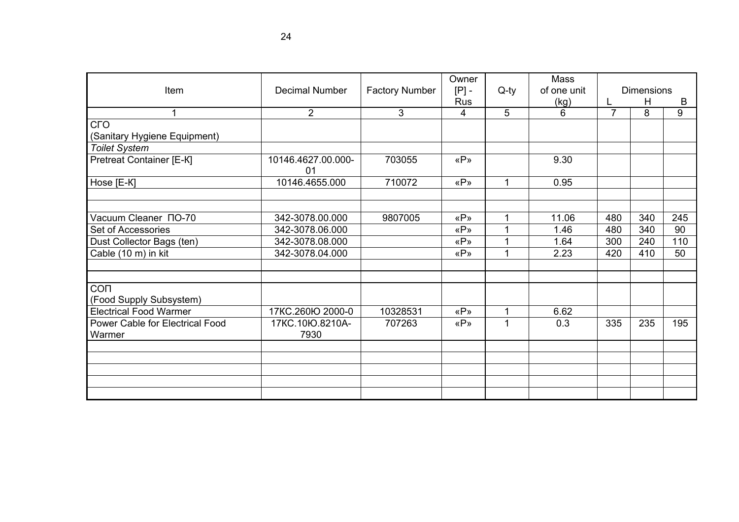| Item                                      | <b>Decimal Number</b>    | <b>Factory Number</b> | Owner<br>$[P]$ -             | $Q$ -ty | <b>Mass</b><br>of one unit |                | <b>Dimensions</b><br>H<br>B |           |
|-------------------------------------------|--------------------------|-----------------------|------------------------------|---------|----------------------------|----------------|-----------------------------|-----------|
| 1                                         | $\overline{2}$           | 3                     | <b>Rus</b><br>$\overline{4}$ | 5       | (kg)<br>6                  | $\overline{7}$ | 8                           | 9         |
| <b>CLO</b>                                |                          |                       |                              |         |                            |                |                             |           |
| (Sanitary Hygiene Equipment)              |                          |                       |                              |         |                            |                |                             |           |
| <b>Toilet System</b>                      |                          |                       |                              |         |                            |                |                             |           |
| Pretreat Container [E-K]                  | 10146.4627.00.000-<br>01 | 703055                | «P»                          |         | 9.30                       |                |                             |           |
| Hose [E-K]                                | 10146.4655.000           | 710072                | «P»                          |         | 0.95                       |                |                             |           |
| Vacuum Cleaner NO-70                      |                          |                       |                              |         |                            |                |                             |           |
|                                           | 342-3078.00.000          | 9807005               | «P»                          |         | 11.06                      | 480            | 340<br>340                  | 245<br>90 |
| Set of Accessories                        | 342-3078.06.000          |                       | «P»                          |         | 1.46                       | 480            |                             |           |
| Dust Collector Bags (ten)                 | 342-3078.08.000          |                       | «P»                          |         | 1.64                       | 300            | 240                         | 110       |
| Cable (10 m) in kit                       | 342-3078.04.000          |                       | «P»                          |         | 2.23                       | 420            | 410                         | 50        |
| CON                                       |                          |                       |                              |         |                            |                |                             |           |
| (Food Supply Subsystem)                   |                          |                       |                              |         |                            |                |                             |           |
| <b>Electrical Food Warmer</b>             | 17KC.260Ю 2000-0         | 10328531              | «P»                          | 1       | 6.62                       |                |                             |           |
| Power Cable for Electrical Food<br>Warmer | 17KC.10Ю.8210A-<br>7930  | 707263                | «P»                          |         | 0.3                        | 335            | 235                         | 195       |
|                                           |                          |                       |                              |         |                            |                |                             |           |
|                                           |                          |                       |                              |         |                            |                |                             |           |
|                                           |                          |                       |                              |         |                            |                |                             |           |
|                                           |                          |                       |                              |         |                            |                |                             |           |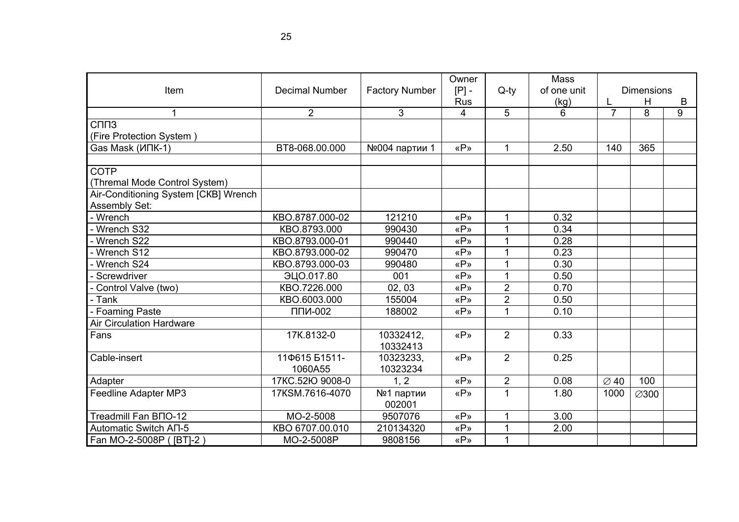| Item                                 | <b>Decimal Number</b>    | <b>Factory Number</b> | Owner<br>$[P]$ -<br><b>Rus</b> | $Q$ -ty        | Mass<br>of one unit |                  | <b>Dimensions</b><br>Н |        |
|--------------------------------------|--------------------------|-----------------------|--------------------------------|----------------|---------------------|------------------|------------------------|--------|
| 1                                    | $\overline{2}$           | 3                     | 4                              | 5              | (kg)<br>6           | $\overline{7}$   | 8                      | B<br>9 |
| C <sub>U</sub> <sub>13</sub>         |                          |                       |                                |                |                     |                  |                        |        |
| (Fire Protection System)             |                          |                       |                                |                |                     |                  |                        |        |
| Gas Mask (ИПК-1)                     | BT8-068.00.000           | №004 партии 1         | «P»                            | $\mathbf{1}$   | 2.50                | 140              | 365                    |        |
|                                      |                          |                       |                                |                |                     |                  |                        |        |
| <b>COTP</b>                          |                          |                       |                                |                |                     |                  |                        |        |
| (Thremal Mode Control System)        |                          |                       |                                |                |                     |                  |                        |        |
| Air-Conditioning System [CKB] Wrench |                          |                       |                                |                |                     |                  |                        |        |
| Assembly Set:                        |                          |                       |                                |                |                     |                  |                        |        |
| Wrench                               | KBO.8787.000-02          | 121210                | «P»                            |                | 0.32                |                  |                        |        |
| Wrench S32                           | KBO.8793.000             | 990430                | «P»                            |                | 0.34                |                  |                        |        |
| Wrench S22                           | KBO.8793.000-01          | 990440                | «P»                            | 1              | 0.28                |                  |                        |        |
| Wrench S12                           | KBO.8793.000-02          | 990470                | «P»                            |                | 0.23                |                  |                        |        |
| Wrench S24                           | KBO.8793.000-03          | 990480                | «P»                            |                | 0.30                |                  |                        |        |
| Screwdriver                          | ЭЦО.017.80               | 001                   | «P»                            | 1              | 0.50                |                  |                        |        |
| Control Valve (two)                  | KBO.7226.000             | 02, 03                | «P»                            | $\overline{2}$ | 0.70                |                  |                        |        |
| - Tank                               | KBO.6003.000             | 155004                | «P»                            | $\overline{2}$ | 0.50                |                  |                        |        |
| <b>Foaming Paste</b>                 | $\Pi\Pi M$ -002          | 188002                | «P»                            |                | 0.10                |                  |                        |        |
| <b>Air Circulation Hardware</b>      |                          |                       |                                |                |                     |                  |                        |        |
| Fans                                 | 17K.8132-0               | 10332412,<br>10332413 | «P»                            | $\overline{2}$ | 0.33                |                  |                        |        |
| Cable-insert                         | 11Ф615 Б1511-<br>1060A55 | 10323233.<br>10323234 | «P»                            | $\overline{2}$ | 0.25                |                  |                        |        |
| Adapter                              | 17KC.52IO 9008-0         | 1, 2                  | «P»                            | $\overline{2}$ | 0.08                | $\varnothing$ 40 | 100                    |        |
| Feedline Adapter MP3                 | 17KSM.7616-4070          | №1 партии             | «P»                            | $\mathbf{1}$   | 1.80                | 1000             | ∅300                   |        |
|                                      |                          | 002001                |                                |                |                     |                  |                        |        |
| Treadmill Fan BNO-12                 | MO-2-5008                | 9507076               | «P»                            | 1              | 3.00                |                  |                        |        |
| Automatic Switch AN-5                | KBO 6707.00.010          | 210134320             | «P»                            |                | 2.00                |                  |                        |        |
| Fan MO-2-5008P ([BT]-2)              | MO-2-5008P               | 9808156               | «P»                            | $\mathbf{1}$   |                     |                  |                        |        |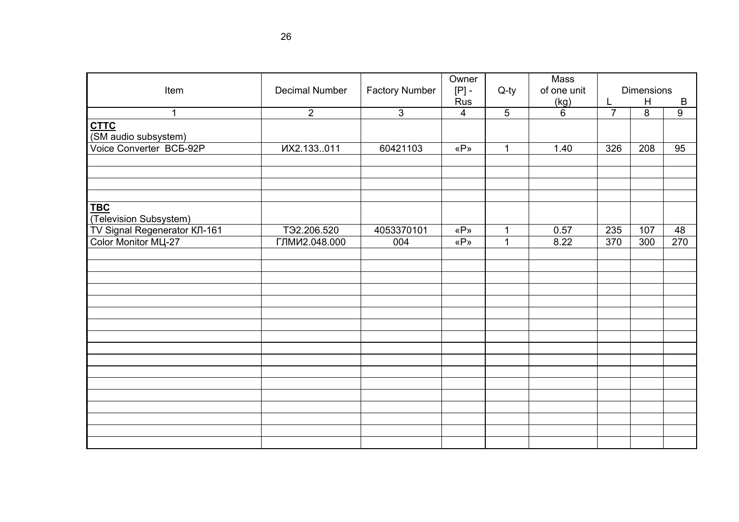| <b>Decimal Number</b> | <b>Factory Number</b>                                                    | Owner<br>$[P]$ -             | $Q$ -ty                                                | <b>Mass</b><br>of one unit          |                                        | <b>Dimensions</b><br>$\, {\bf B}$ |                                   |
|-----------------------|--------------------------------------------------------------------------|------------------------------|--------------------------------------------------------|-------------------------------------|----------------------------------------|-----------------------------------|-----------------------------------|
|                       |                                                                          |                              |                                                        |                                     |                                        |                                   | $9\,$                             |
|                       |                                                                          |                              |                                                        |                                     |                                        |                                   |                                   |
|                       | 60421103                                                                 | «P»                          | $\mathbf 1$                                            | 1.40                                | 326                                    | 208                               | 95                                |
|                       |                                                                          |                              |                                                        |                                     |                                        |                                   |                                   |
|                       |                                                                          |                              |                                                        |                                     |                                        |                                   | 48                                |
|                       | 004                                                                      |                              |                                                        |                                     |                                        |                                   | 270                               |
|                       |                                                                          |                              |                                                        |                                     |                                        |                                   |                                   |
|                       |                                                                          |                              |                                                        |                                     |                                        |                                   |                                   |
|                       |                                                                          |                              |                                                        |                                     |                                        |                                   |                                   |
|                       |                                                                          |                              |                                                        |                                     |                                        |                                   |                                   |
|                       |                                                                          |                              |                                                        |                                     |                                        |                                   |                                   |
|                       | $\overline{2}$<br>VX2.133011<br>T <sub>92.206.520</sub><br>ГЛМИ2.048.000 | $\mathfrak{S}$<br>4053370101 | Rus<br>4<br>«P»<br>$\langle \langle P \rangle \rangle$ | $5\phantom{.0}$<br>1<br>$\mathbf 1$ | (kg)<br>$6\phantom{1}$<br>0.57<br>8.22 | L<br>$\overline{7}$<br>235<br>370 | H<br>$\overline{8}$<br>107<br>300 |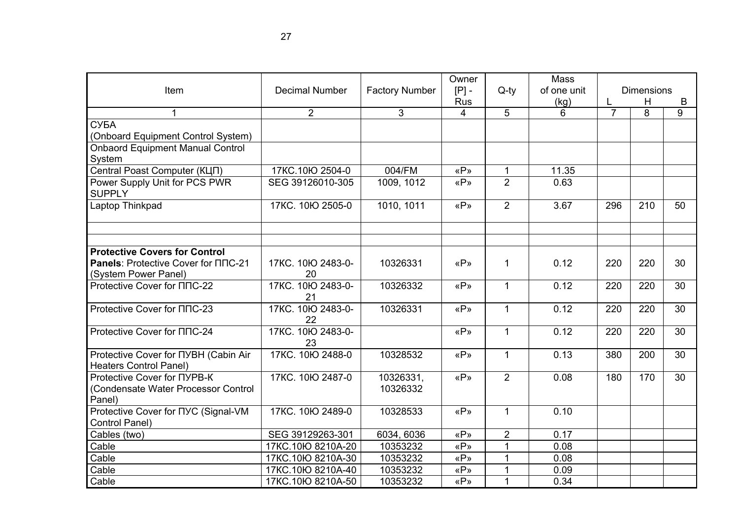|                                                                              |                         |                       | Owner                 |                | Mass        |                     | <b>Dimensions</b> |    |
|------------------------------------------------------------------------------|-------------------------|-----------------------|-----------------------|----------------|-------------|---------------------|-------------------|----|
| Item                                                                         | <b>Decimal Number</b>   | <b>Factory Number</b> | $[P]$ -<br><b>Rus</b> | $Q$ -ty        | of one unit |                     | Η                 | B  |
| 1                                                                            | $\overline{2}$          | 3                     | 4                     | 5              | (kg)<br>6   | L<br>$\overline{7}$ | 8                 | 9  |
| СУБА                                                                         |                         |                       |                       |                |             |                     |                   |    |
| (Onboard Equipment Control System)                                           |                         |                       |                       |                |             |                     |                   |    |
| <b>Onbaord Equipment Manual Control</b><br>System                            |                         |                       |                       |                |             |                     |                   |    |
| Central Poast Computer (КЦП)                                                 | 17KC.10Ю 2504-0         | 004/FM                | «P»                   | $\mathbf{1}$   | 11.35       |                     |                   |    |
| Power Supply Unit for PCS PWR<br><b>SUPPLY</b>                               | SEG 39126010-305        | 1009, 1012            | «P»                   | $\overline{2}$ | 0.63        |                     |                   |    |
| Laptop Thinkpad                                                              | 17KC. 10Ю 2505-0        | 1010, 1011            | «P»                   | $\overline{2}$ | 3.67        | 296                 | 210               | 50 |
| <b>Protective Covers for Control</b>                                         |                         |                       |                       |                |             |                     |                   |    |
| <b>Panels: Protective Cover for NNC-21</b><br>(System Power Panel)           | 17KC. 10Ю 2483-0-<br>20 | 10326331              | «P»                   | $\mathbf 1$    | 0.12        | 220                 | 220               | 30 |
| Protective Cover for $\Pi$ DC-22                                             | 17KC. 10Ю 2483-0-<br>21 | 10326332              | «P»                   | $\mathbf{1}$   | 0.12        | 220                 | 220               | 30 |
| Protective Cover for $\Pi$ nC-23                                             | 17KC. 10Ю 2483-0-<br>22 | 10326331              | «P»                   | $\mathbf{1}$   | 0.12        | 220                 | 220               | 30 |
| Protective Cover for $\Pi$ nC-24                                             | 17KC. 10Ю 2483-0-<br>23 |                       | «P»                   | $\mathbf{1}$   | 0.12        | 220                 | 220               | 30 |
| Protective Cover for NYBH (Cabin Air<br><b>Heaters Control Panel)</b>        | 17KC, 10Ю 2488-0        | 10328532              | «P»                   | $\mathbf{1}$   | 0.13        | 380                 | 200               | 30 |
| Protective Cover for NYPB-K<br>(Condensate Water Processor Control<br>Panel) | 17KC. 10Ю 2487-0        | 10326331,<br>10326332 | «P»                   | $\overline{2}$ | 0.08        | 180                 | 170               | 30 |
| Protective Cover for NYC (Signal-VM<br>Control Panel)                        | 17KC. 10Ю 2489-0        | 10328533              | «P»                   | $\mathbf{1}$   | 0.10        |                     |                   |    |
| Cables (two)                                                                 | SEG 39129263-301        | 6034, 6036            | «P»                   | $\overline{2}$ | 0.17        |                     |                   |    |
| Cable                                                                        | 17KC.10Ю 8210A-20       | 10353232              | «P»                   | $\mathbf 1$    | 0.08        |                     |                   |    |
| Cable                                                                        | 17KC.10Ю 8210А-30       | 10353232              | «P»                   | 1              | 0.08        |                     |                   |    |
| Cable                                                                        | 17KC.10Ю 8210A-40       | 10353232              | «P»                   | $\mathbf{1}$   | 0.09        |                     |                   |    |
| Cable                                                                        | 17KC.10Ю 8210A-50       | 10353232              | «P»                   | $\mathbf{1}$   | 0.34        |                     |                   |    |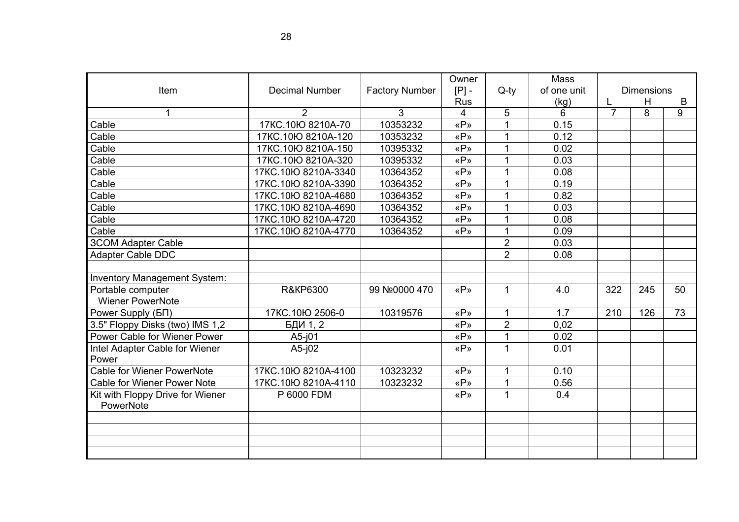| Item                                                                                                                                                                 | <b>Decimal Number</b>                                     | <b>Factory Number</b> | Owner<br>$[P]$ -  | $Q$ -ty        | Mass<br>of one unit |                | <b>Dimensions</b> |    |
|----------------------------------------------------------------------------------------------------------------------------------------------------------------------|-----------------------------------------------------------|-----------------------|-------------------|----------------|---------------------|----------------|-------------------|----|
|                                                                                                                                                                      |                                                           |                       | <b>Rus</b>        |                | (kg)                | L              | H                 | B  |
| 1                                                                                                                                                                    | $\overline{2}$                                            | 3                     | 4                 | $\sqrt{5}$     | 6                   | $\overline{7}$ | 8                 | 9  |
| Cable                                                                                                                                                                | 17KC.10Ю 8210A-70                                         | 10353232              | «P»               | 1              | 0.15                |                |                   |    |
| Cable                                                                                                                                                                | 17KC.10Ю 8210A-120                                        | 10353232              | «P»               | 1              | 0.12                |                |                   |    |
| Cable                                                                                                                                                                | 17KC.10Ю 8210A-150                                        | 10395332              | «P»               | 1              | 0.02                |                |                   |    |
| Cable                                                                                                                                                                | 17KC.10Ю 8210A-320                                        | 10395332              | «P»               |                | 0.03                |                |                   |    |
| Cable                                                                                                                                                                | 17KC.10Ю 8210А-3340                                       | 10364352              | «P»               |                | 0.08                |                |                   |    |
| Cable                                                                                                                                                                | 17KC.10Ю 8210A-3390                                       | 10364352              | «P»               |                | 0.19                |                |                   |    |
| Cable                                                                                                                                                                | 17KC.10Ю 8210А-4680                                       | 10364352              | «P»               |                | 0.82                |                |                   |    |
| Cable                                                                                                                                                                | 17KC.10Ю 8210A-4690                                       | 10364352              | «P»               | 1              | 0.03                |                |                   |    |
| Cable                                                                                                                                                                | 17KC.10Ю 8210A-4720                                       | 10364352              | «P»               | 1              | 0.08                |                |                   |    |
| Cable                                                                                                                                                                | 17KC.10Ю 8210A-4770                                       | 10364352              | «P»               |                | 0.09                |                |                   |    |
| <b>3COM Adapter Cable</b>                                                                                                                                            |                                                           |                       |                   | $\overline{2}$ | 0.03                |                |                   |    |
| Adapter Cable DDC                                                                                                                                                    |                                                           |                       |                   | $\overline{2}$ | 0.08                |                |                   |    |
|                                                                                                                                                                      |                                                           |                       |                   |                |                     |                |                   |    |
| Inventory Management System:                                                                                                                                         |                                                           |                       |                   |                |                     |                |                   |    |
| Portable computer                                                                                                                                                    | <b>R&amp;KP6300</b>                                       | 99 Nº0000 470         | «P»               | $\mathbf{1}$   | 4.0                 | 322            | 245               | 50 |
| <b>Wiener PowerNote</b>                                                                                                                                              |                                                           |                       |                   |                |                     |                |                   |    |
| Power Supply (BN)                                                                                                                                                    | 17KC.10Ю 2506-0                                           | 10319576              | «P»               | $\overline{1}$ | 1.7                 | 210            | 126               | 73 |
|                                                                                                                                                                      | БДИ 1, 2                                                  |                       | «P»               | $\overline{2}$ | 0,02                |                |                   |    |
| Power Cable for Wiener Power                                                                                                                                         | $A5-101$                                                  |                       | «P»               | 1              | 0.02                |                |                   |    |
| Intel Adapter Cable for Wiener                                                                                                                                       | $A5-j02$                                                  |                       | «P»               | 1              | 0.01                |                |                   |    |
|                                                                                                                                                                      |                                                           |                       |                   |                |                     |                |                   |    |
|                                                                                                                                                                      |                                                           |                       |                   | 1              |                     |                |                   |    |
|                                                                                                                                                                      |                                                           |                       |                   | 1              |                     |                |                   |    |
|                                                                                                                                                                      |                                                           |                       |                   |                |                     |                |                   |    |
|                                                                                                                                                                      |                                                           |                       |                   |                |                     |                |                   |    |
|                                                                                                                                                                      |                                                           |                       |                   |                |                     |                |                   |    |
|                                                                                                                                                                      |                                                           |                       |                   |                |                     |                |                   |    |
|                                                                                                                                                                      |                                                           |                       |                   |                |                     |                |                   |    |
| 3.5" Floppy Disks (two) IMS 1,2<br>Power<br><b>Cable for Wiener PowerNote</b><br><b>Cable for Wiener Power Note</b><br>Kit with Floppy Drive for Wiener<br>PowerNote | 17KC.10lO 8210A-4100<br>17KC.10Ю 8210A-4110<br>P 6000 FDM | 10323232<br>10323232  | «P»<br>«P»<br>«P» | $\mathbf{1}$   | 0.10<br>0.56<br>0.4 |                |                   |    |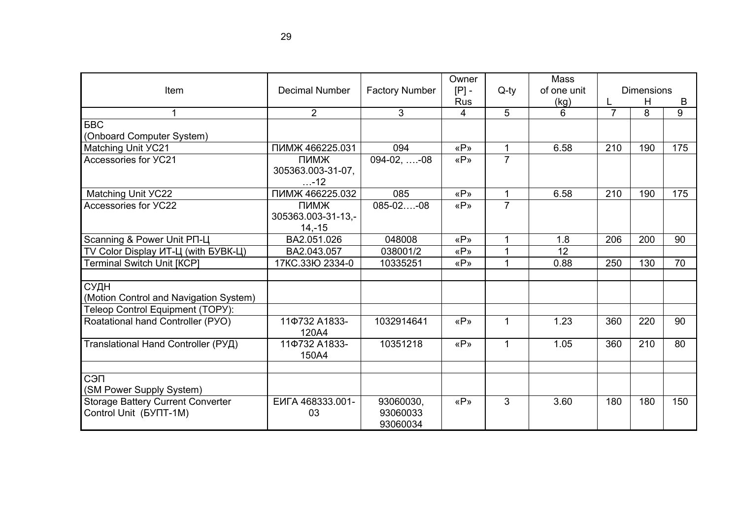| <b>Item</b>                                                                        | <b>Decimal Number</b>                  | <b>Factory Number</b>             | Owner<br>$[P]$ -<br><b>Rus</b> | $Q$ -ty        | Mass<br>of one unit<br>(kg) | <b>Dimensions</b><br>H<br>B |     |     |
|------------------------------------------------------------------------------------|----------------------------------------|-----------------------------------|--------------------------------|----------------|-----------------------------|-----------------------------|-----|-----|
| 1                                                                                  | $\overline{2}$                         | 3                                 | 4                              | 5              | 6                           | $\overline{7}$              | 8   | 9   |
| <b>BBC</b>                                                                         |                                        |                                   |                                |                |                             |                             |     |     |
| (Onboard Computer System)                                                          |                                        |                                   |                                |                |                             |                             |     |     |
| <b>Matching Unit YC21</b>                                                          | ПИМЖ 466225.031                        | 094                               | «P»                            | $\mathbf 1$    | 6.58                        | 210                         | 190 | 175 |
| Accessories for YC21                                                               | ПИМЖ<br>305363.003-31-07,<br>$ - 12$   | $094-02, \ldots -08$              | «P»                            | $\overline{7}$ |                             |                             |     |     |
| Matching Unit YC22                                                                 | ПИМЖ 466225.032                        | 085                               | «P»                            | $\mathbf{1}$   | 6.58                        | 210                         | 190 | 175 |
| Accessories for YC22                                                               | ПИМЖ<br>305363.003-31-13,-<br>$14,-15$ | $085 - 02$ -08                    | «P»                            | $\overline{7}$ |                             |                             |     |     |
| Scanning & Power Unit PN-L                                                         | BA2.051.026                            | 048008                            | «P»                            |                | 1.8                         | 206                         | 200 | 90  |
| TV Color Display ИТ-Ц (with БУВК-Ц)                                                | BA2.043.057                            | 038001/2                          | «P»                            | $\mathbf 1$    | $\overline{12}$             |                             |     |     |
| <b>Terminal Switch Unit [KCP]</b>                                                  | 17KC.33IO 2334-0                       | 10335251                          | «P»                            | $\mathbf 1$    | 0.88                        | 250                         | 130 | 70  |
| СУДН<br>(Motion Control and Navigation System)<br>Teleop Control Equipment (TOPY): |                                        |                                   |                                |                |                             |                             |     |     |
| Roatational hand Controller (PYO)                                                  | 11¢732 A1833-<br>120A4                 | 1032914641                        | «P»                            | $\mathbf 1$    | 1.23                        | 360                         | 220 | 90  |
| Translational Hand Controller (РУД)                                                | 11¢732 A1833-<br>150A4                 | 10351218                          | «P»                            | $\mathbf{1}$   | 1.05                        | 360                         | 210 | 80  |
| СЭП<br>(SM Power Supply System)                                                    |                                        |                                   |                                |                |                             |                             |     |     |
| <b>Storage Battery Current Converter</b><br>Control Unit (BYIT-1M)                 | EVITA 468333.001-<br>03                | 93060030,<br>93060033<br>93060034 | «P»                            | 3              | 3.60                        | 180                         | 180 | 150 |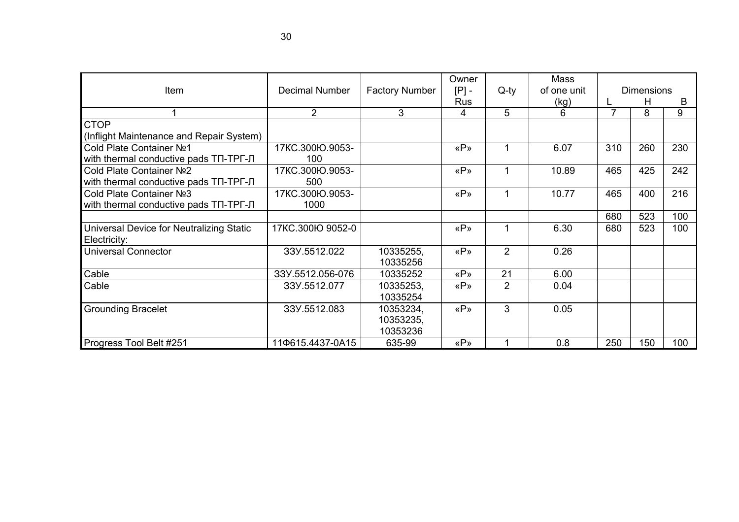| Item                                     | <b>Decimal Number</b> | <b>Factory Number</b> | Owner<br>$[P]$ - | $Q$ -ty        | Mass<br>of one unit | <b>Dimensions</b> |     |     |
|------------------------------------------|-----------------------|-----------------------|------------------|----------------|---------------------|-------------------|-----|-----|
|                                          |                       |                       | <b>Rus</b>       |                | (kg)                |                   | H   | B   |
|                                          | $\overline{2}$        | 3                     | 4                | 5              | 6                   |                   | 8   | 9   |
| <b>CTOP</b>                              |                       |                       |                  |                |                     |                   |     |     |
| (Inflight Maintenance and Repair System) |                       |                       |                  |                |                     |                   |     |     |
| Cold Plate Container Nº1                 | 17KC.300Ю.9053-       |                       | «P»              | 1              | 6.07                | 310               | 260 | 230 |
| with thermal conductive pads TN-TPF-J    | 100                   |                       |                  |                |                     |                   |     |     |
| Cold Plate Container Nº2                 | 17KC.300Ю.9053-       |                       | «P»              | 1              | 10.89               | 465               | 425 | 242 |
| with thermal conductive pads TN-TPF-J    | 500                   |                       |                  |                |                     |                   |     |     |
| Cold Plate Container Nº3                 | 17KC.300Ю.9053-       |                       | «P»              | 1              | 10.77               | 465               | 400 | 216 |
| with thermal conductive pads TN-TPF-JI   | 1000                  |                       |                  |                |                     |                   |     |     |
|                                          |                       |                       |                  |                |                     | 680               | 523 | 100 |
| Universal Device for Neutralizing Static | 17KC.300Ю 9052-0      |                       | «P»              | 1              | 6.30                | 680               | 523 | 100 |
| Electricity:                             |                       |                       |                  |                |                     |                   |     |     |
| <b>Universal Connector</b>               | 33Y.5512.022          | 10335255,             | «P»              | $\overline{2}$ | 0.26                |                   |     |     |
|                                          |                       | 10335256              |                  |                |                     |                   |     |     |
| Cable                                    | 33Y.5512.056-076      | 10335252              | «P»              | 21             | 6.00                |                   |     |     |
| Cable                                    | 33Y.5512.077          | 10335253,             | «P»              | $\overline{2}$ | 0.04                |                   |     |     |
|                                          |                       | 10335254              |                  |                |                     |                   |     |     |
| <b>Grounding Bracelet</b>                | 33Y.5512.083          | 10353234,             | «P»              | 3              | 0.05                |                   |     |     |
|                                          |                       | 10353235,             |                  |                |                     |                   |     |     |
|                                          |                       | 10353236              |                  |                |                     |                   |     |     |
| Progress Tool Belt #251                  | 110615.4437-0A15      | 635-99                | «P»              |                | 0.8                 | 250               | 150 | 100 |